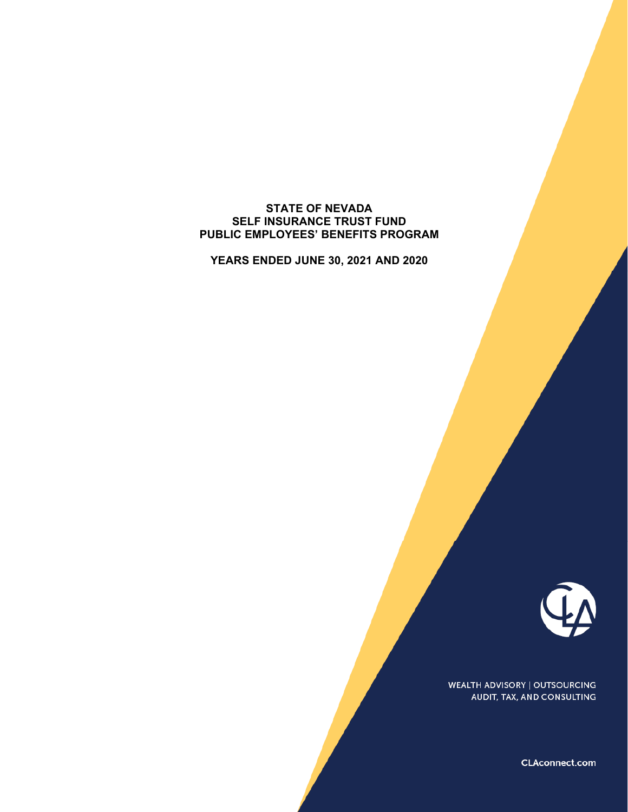#### **STATE OF NEVADA SELF INSURANCE TRUST FUND PUBLIC EMPLOYEES' BENEFITS PROGRAM**

**YEARS ENDED JUNE 30, 2021 AND 2020** 



**WEALTH ADVISORY | OUTSOURCING** AUDIT, TAX, AND CONSULTING

CLAconnect.com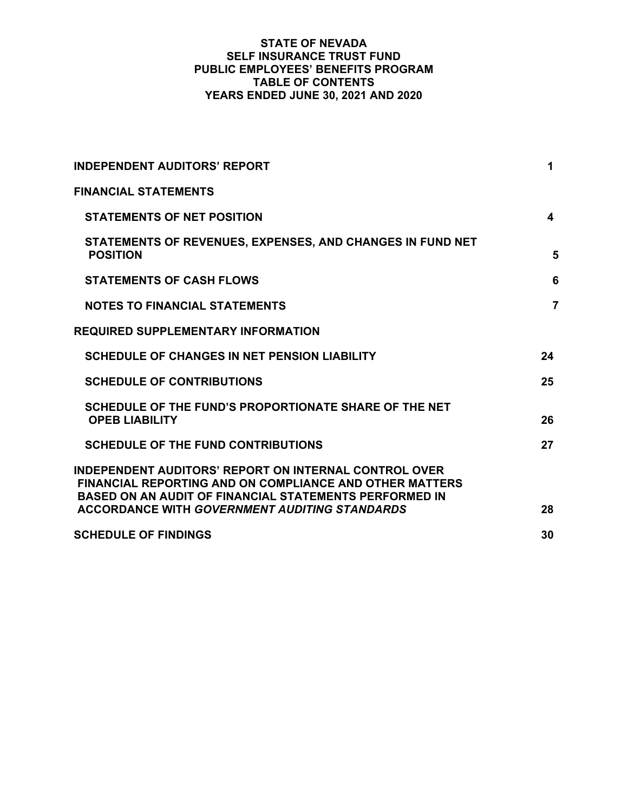### **STATE OF NEVADA SELF INSURANCE TRUST FUND PUBLIC EMPLOYEES' BENEFITS PROGRAM TABLE OF CONTENTS YEARS ENDED JUNE 30, 2021 AND 2020**

| <b>INDEPENDENT AUDITORS' REPORT</b>                                                                                                                                                             | 1              |
|-------------------------------------------------------------------------------------------------------------------------------------------------------------------------------------------------|----------------|
| <b>FINANCIAL STATEMENTS</b>                                                                                                                                                                     |                |
| <b>STATEMENTS OF NET POSITION</b>                                                                                                                                                               | 4              |
| STATEMENTS OF REVENUES, EXPENSES, AND CHANGES IN FUND NET<br><b>POSITION</b>                                                                                                                    | 5              |
| <b>STATEMENTS OF CASH FLOWS</b>                                                                                                                                                                 | 6              |
| <b>NOTES TO FINANCIAL STATEMENTS</b>                                                                                                                                                            | $\overline{7}$ |
| <b>REQUIRED SUPPLEMENTARY INFORMATION</b>                                                                                                                                                       |                |
| <b>SCHEDULE OF CHANGES IN NET PENSION LIABILITY</b>                                                                                                                                             | 24             |
| <b>SCHEDULE OF CONTRIBUTIONS</b>                                                                                                                                                                | 25             |
| SCHEDULE OF THE FUND'S PROPORTIONATE SHARE OF THE NET<br><b>OPEB LIABILITY</b>                                                                                                                  | 26             |
| <b>SCHEDULE OF THE FUND CONTRIBUTIONS</b>                                                                                                                                                       | 27             |
| <b>INDEPENDENT AUDITORS' REPORT ON INTERNAL CONTROL OVER</b><br><b>FINANCIAL REPORTING AND ON COMPLIANCE AND OTHER MATTERS</b><br><b>BASED ON AN AUDIT OF FINANCIAL STATEMENTS PERFORMED IN</b> |                |
| <b>ACCORDANCE WITH GOVERNMENT AUDITING STANDARDS</b>                                                                                                                                            | 28             |
| <b>SCHEDULE OF FINDINGS</b>                                                                                                                                                                     | 30             |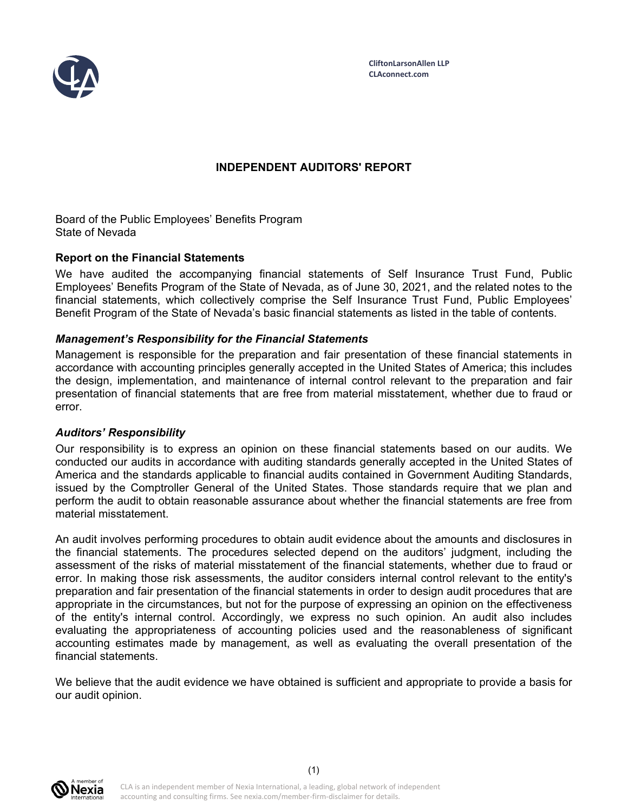

# **INDEPENDENT AUDITORS' REPORT**

Board of the Public Employees' Benefits Program State of Nevada

### **Report on the Financial Statements**

We have audited the accompanying financial statements of Self Insurance Trust Fund, Public Employees' Benefits Program of the State of Nevada, as of June 30, 2021, and the related notes to the financial statements, which collectively comprise the Self Insurance Trust Fund, Public Employees' Benefit Program of the State of Nevada's basic financial statements as listed in the table of contents.

### *Management's Responsibility for the Financial Statements*

Management is responsible for the preparation and fair presentation of these financial statements in accordance with accounting principles generally accepted in the United States of America; this includes the design, implementation, and maintenance of internal control relevant to the preparation and fair presentation of financial statements that are free from material misstatement, whether due to fraud or error.

#### *Auditors' Responsibility*

Our responsibility is to express an opinion on these financial statements based on our audits. We conducted our audits in accordance with auditing standards generally accepted in the United States of America and the standards applicable to financial audits contained in Government Auditing Standards, issued by the Comptroller General of the United States. Those standards require that we plan and perform the audit to obtain reasonable assurance about whether the financial statements are free from material misstatement.

An audit involves performing procedures to obtain audit evidence about the amounts and disclosures in the financial statements. The procedures selected depend on the auditors' judgment, including the assessment of the risks of material misstatement of the financial statements, whether due to fraud or error. In making those risk assessments, the auditor considers internal control relevant to the entity's preparation and fair presentation of the financial statements in order to design audit procedures that are appropriate in the circumstances, but not for the purpose of expressing an opinion on the effectiveness of the entity's internal control. Accordingly, we express no such opinion. An audit also includes evaluating the appropriateness of accounting policies used and the reasonableness of significant accounting estimates made by management, as well as evaluating the overall presentation of the financial statements.

We believe that the audit evidence we have obtained is sufficient and appropriate to provide a basis for our audit opinion.

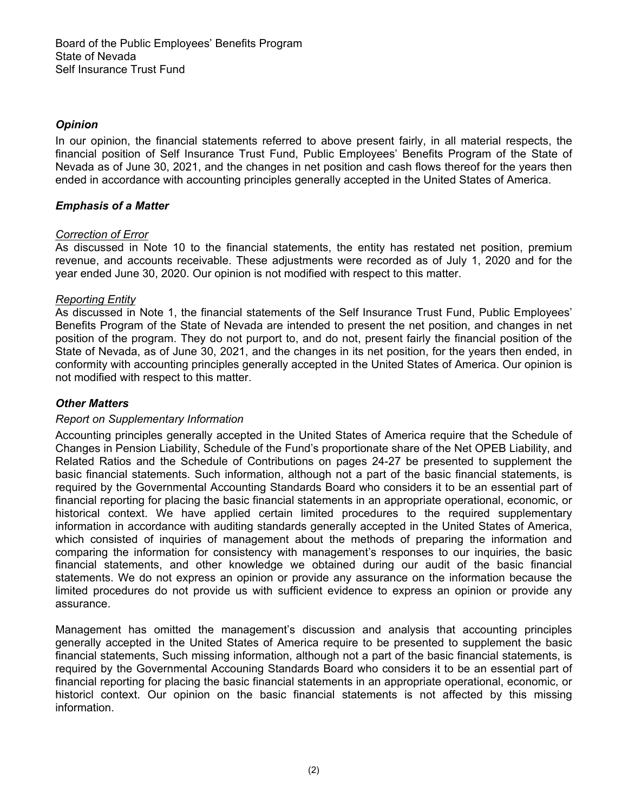# *Opinion*

In our opinion, the financial statements referred to above present fairly, in all material respects, the financial position of Self Insurance Trust Fund, Public Employees' Benefits Program of the State of Nevada as of June 30, 2021, and the changes in net position and cash flows thereof for the years then ended in accordance with accounting principles generally accepted in the United States of America.

## *Emphasis of a Matter*

## *Correction of Error*

As discussed in Note 10 to the financial statements, the entity has restated net position, premium revenue, and accounts receivable. These adjustments were recorded as of July 1, 2020 and for the year ended June 30, 2020. Our opinion is not modified with respect to this matter.

## *Reporting Entity*

As discussed in Note 1, the financial statements of the Self Insurance Trust Fund, Public Employees' Benefits Program of the State of Nevada are intended to present the net position, and changes in net position of the program. They do not purport to, and do not, present fairly the financial position of the State of Nevada, as of June 30, 2021, and the changes in its net position, for the years then ended, in conformity with accounting principles generally accepted in the United States of America. Our opinion is not modified with respect to this matter.

## *Other Matters*

## *Report on Supplementary Information*

Accounting principles generally accepted in the United States of America require that the Schedule of Changes in Pension Liability, Schedule of the Fund's proportionate share of the Net OPEB Liability, and Related Ratios and the Schedule of Contributions on pages 24-27 be presented to supplement the basic financial statements. Such information, although not a part of the basic financial statements, is required by the Governmental Accounting Standards Board who considers it to be an essential part of financial reporting for placing the basic financial statements in an appropriate operational, economic, or historical context. We have applied certain limited procedures to the required supplementary information in accordance with auditing standards generally accepted in the United States of America, which consisted of inquiries of management about the methods of preparing the information and comparing the information for consistency with management's responses to our inquiries, the basic financial statements, and other knowledge we obtained during our audit of the basic financial statements. We do not express an opinion or provide any assurance on the information because the limited procedures do not provide us with sufficient evidence to express an opinion or provide any assurance.

Management has omitted the management's discussion and analysis that accounting principles generally accepted in the United States of America require to be presented to supplement the basic financial statements, Such missing information, although not a part of the basic financial statements, is required by the Governmental Accouning Standards Board who considers it to be an essential part of financial reporting for placing the basic financial statements in an appropriate operational, economic, or historicl context. Our opinion on the basic financial statements is not affected by this missing information.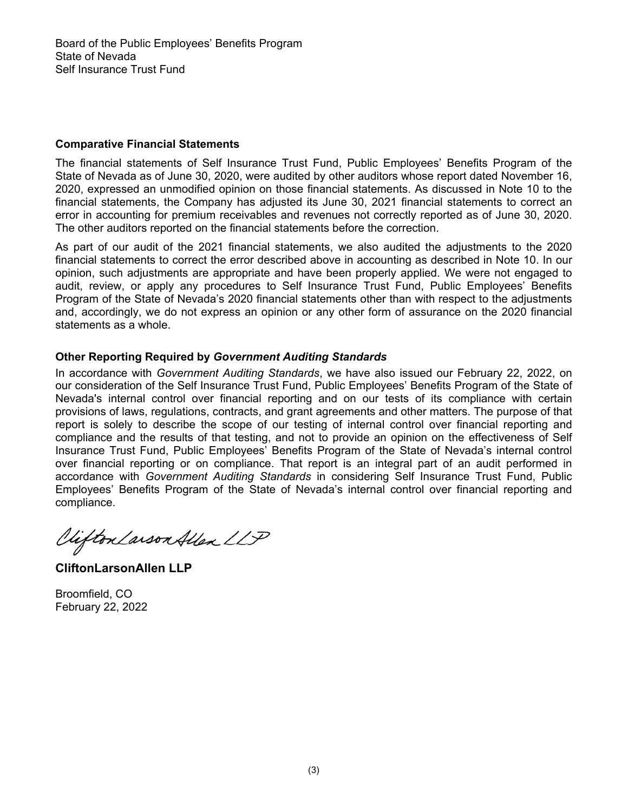### **Comparative Financial Statements**

The financial statements of Self Insurance Trust Fund, Public Employees' Benefits Program of the State of Nevada as of June 30, 2020, were audited by other auditors whose report dated November 16, 2020, expressed an unmodified opinion on those financial statements. As discussed in Note 10 to the financial statements, the Company has adjusted its June 30, 2021 financial statements to correct an error in accounting for premium receivables and revenues not correctly reported as of June 30, 2020. The other auditors reported on the financial statements before the correction.

As part of our audit of the 2021 financial statements, we also audited the adjustments to the 2020 financial statements to correct the error described above in accounting as described in Note 10. In our opinion, such adjustments are appropriate and have been properly applied. We were not engaged to audit, review, or apply any procedures to Self Insurance Trust Fund, Public Employees' Benefits Program of the State of Nevada's 2020 financial statements other than with respect to the adjustments and, accordingly, we do not express an opinion or any other form of assurance on the 2020 financial statements as a whole.

## **Other Reporting Required by** *Government Auditing Standards*

In accordance with *Government Auditing Standards*, we have also issued our February 22, 2022, on our consideration of the Self Insurance Trust Fund, Public Employees' Benefits Program of the State of Nevada's internal control over financial reporting and on our tests of its compliance with certain provisions of laws, regulations, contracts, and grant agreements and other matters. The purpose of that report is solely to describe the scope of our testing of internal control over financial reporting and compliance and the results of that testing, and not to provide an opinion on the effectiveness of Self Insurance Trust Fund, Public Employees' Benefits Program of the State of Nevada's internal control over financial reporting or on compliance. That report is an integral part of an audit performed in accordance with *Government Auditing Standards* in considering Self Insurance Trust Fund, Public Employees' Benefits Program of the State of Nevada's internal control over financial reporting and compliance.

Viifton Larson Allen LLP

**CliftonLarsonAllen LLP** 

Broomfield, CO February 22, 2022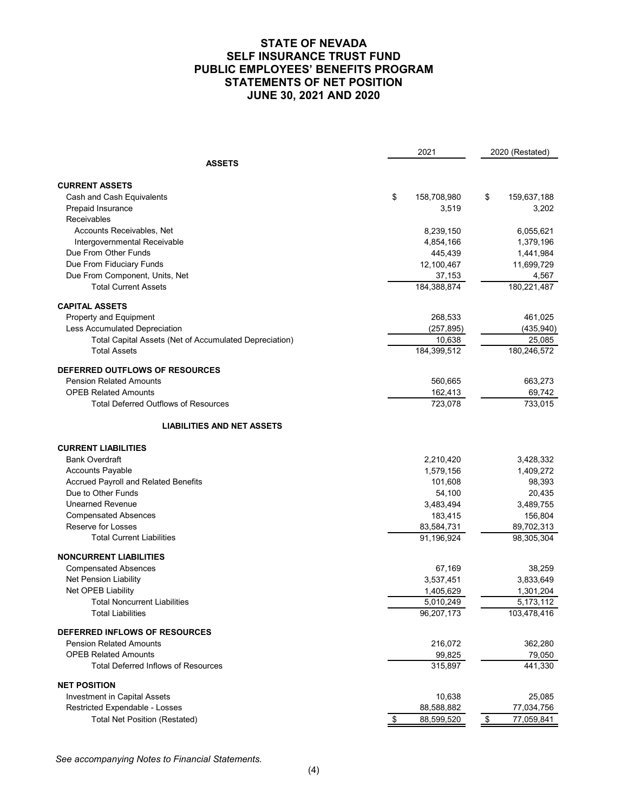### **STATE OF NEVADA SELF INSURANCE TRUST FUND PUBLIC EMPLOYEES' BENEFITS PROGRAM STATEMENTS OF NET POSITION JUNE 30, 2021 AND 2020**

| <b>ASSETS</b><br><b>CURRENT ASSETS</b><br>\$<br>Cash and Cash Equivalents<br>158,708,980<br>\$<br>159,637,188<br>Prepaid Insurance<br>3,519<br>3,202<br>Receivables<br>Accounts Receivables, Net<br>8,239,150<br>6,055,621<br>Intergovernmental Receivable<br>1,379,196<br>4,854,166<br>Due From Other Funds<br>445,439<br>1,441,984<br>Due From Fiduciary Funds<br>12,100,467<br>11,699,729<br>Due From Component, Units, Net<br>37,153<br>4,567<br>184,388,874<br>180,221,487<br><b>Total Current Assets</b><br><b>CAPITAL ASSETS</b><br>268,533<br>461,025<br>Property and Equipment<br>Less Accumulated Depreciation<br>(257, 895)<br>(435, 940)<br>Total Capital Assets (Net of Accumulated Depreciation)<br>10,638<br>25,085<br>184,399,512<br><b>Total Assets</b><br>180,246,572<br>DEFERRED OUTFLOWS OF RESOURCES<br><b>Pension Related Amounts</b><br>560,665<br>663,273<br><b>OPEB Related Amounts</b><br>162,413<br>69,742<br>733,015<br>723,078<br>Total Deferred Outflows of Resources<br><b>LIABILITIES AND NET ASSETS</b><br><b>CURRENT LIABILITIES</b><br><b>Bank Overdraft</b><br>3,428,332<br>2,210,420<br>Accounts Payable<br>1,579,156<br>1,409,272<br><b>Accrued Payroll and Related Benefits</b><br>98,393<br>101,608<br>Due to Other Funds<br>54,100<br>20,435<br><b>Unearned Revenue</b><br>3,483,494<br>3,489,755<br><b>Compensated Absences</b><br>183,415<br>156,804<br>Reserve for Losses<br>83,584,731<br>89,702,313<br>91,196,924<br><b>Total Current Liabilities</b><br>98,305,304<br><b>NONCURRENT LIABILITIES</b><br>67,169<br>38,259<br><b>Compensated Absences</b><br>Net Pension Liability<br>3,537,451<br>3,833,649<br>Net OPEB Liability<br>1,405,629<br>1,301,204<br><b>Total Noncurrent Liabilities</b><br>5,010,249<br>5,173,112<br><b>Total Liabilities</b><br>103,478,416<br>96,207,173<br>DEFERRED INFLOWS OF RESOURCES<br><b>Pension Related Amounts</b><br>216,072<br>362,280<br><b>OPEB Related Amounts</b><br>99,825<br>79,050<br><b>Total Deferred Inflows of Resources</b><br>315,897<br>441,330<br><b>NET POSITION</b><br><b>Investment in Capital Assets</b><br>10,638<br>25,085<br>Restricted Expendable - Losses<br>88,588,882<br>77,034,756<br><b>Total Net Position (Restated)</b><br>88,599,520<br>\$<br>\$ |  |  | 2021 | 2020 (Restated) |            |
|----------------------------------------------------------------------------------------------------------------------------------------------------------------------------------------------------------------------------------------------------------------------------------------------------------------------------------------------------------------------------------------------------------------------------------------------------------------------------------------------------------------------------------------------------------------------------------------------------------------------------------------------------------------------------------------------------------------------------------------------------------------------------------------------------------------------------------------------------------------------------------------------------------------------------------------------------------------------------------------------------------------------------------------------------------------------------------------------------------------------------------------------------------------------------------------------------------------------------------------------------------------------------------------------------------------------------------------------------------------------------------------------------------------------------------------------------------------------------------------------------------------------------------------------------------------------------------------------------------------------------------------------------------------------------------------------------------------------------------------------------------------------------------------------------------------------------------------------------------------------------------------------------------------------------------------------------------------------------------------------------------------------------------------------------------------------------------------------------------------------------------------------------------------------------------------------------------------------------------------------------------------------|--|--|------|-----------------|------------|
|                                                                                                                                                                                                                                                                                                                                                                                                                                                                                                                                                                                                                                                                                                                                                                                                                                                                                                                                                                                                                                                                                                                                                                                                                                                                                                                                                                                                                                                                                                                                                                                                                                                                                                                                                                                                                                                                                                                                                                                                                                                                                                                                                                                                                                                                      |  |  |      |                 |            |
|                                                                                                                                                                                                                                                                                                                                                                                                                                                                                                                                                                                                                                                                                                                                                                                                                                                                                                                                                                                                                                                                                                                                                                                                                                                                                                                                                                                                                                                                                                                                                                                                                                                                                                                                                                                                                                                                                                                                                                                                                                                                                                                                                                                                                                                                      |  |  |      |                 |            |
|                                                                                                                                                                                                                                                                                                                                                                                                                                                                                                                                                                                                                                                                                                                                                                                                                                                                                                                                                                                                                                                                                                                                                                                                                                                                                                                                                                                                                                                                                                                                                                                                                                                                                                                                                                                                                                                                                                                                                                                                                                                                                                                                                                                                                                                                      |  |  |      |                 |            |
|                                                                                                                                                                                                                                                                                                                                                                                                                                                                                                                                                                                                                                                                                                                                                                                                                                                                                                                                                                                                                                                                                                                                                                                                                                                                                                                                                                                                                                                                                                                                                                                                                                                                                                                                                                                                                                                                                                                                                                                                                                                                                                                                                                                                                                                                      |  |  |      |                 |            |
|                                                                                                                                                                                                                                                                                                                                                                                                                                                                                                                                                                                                                                                                                                                                                                                                                                                                                                                                                                                                                                                                                                                                                                                                                                                                                                                                                                                                                                                                                                                                                                                                                                                                                                                                                                                                                                                                                                                                                                                                                                                                                                                                                                                                                                                                      |  |  |      |                 |            |
|                                                                                                                                                                                                                                                                                                                                                                                                                                                                                                                                                                                                                                                                                                                                                                                                                                                                                                                                                                                                                                                                                                                                                                                                                                                                                                                                                                                                                                                                                                                                                                                                                                                                                                                                                                                                                                                                                                                                                                                                                                                                                                                                                                                                                                                                      |  |  |      |                 |            |
|                                                                                                                                                                                                                                                                                                                                                                                                                                                                                                                                                                                                                                                                                                                                                                                                                                                                                                                                                                                                                                                                                                                                                                                                                                                                                                                                                                                                                                                                                                                                                                                                                                                                                                                                                                                                                                                                                                                                                                                                                                                                                                                                                                                                                                                                      |  |  |      |                 |            |
|                                                                                                                                                                                                                                                                                                                                                                                                                                                                                                                                                                                                                                                                                                                                                                                                                                                                                                                                                                                                                                                                                                                                                                                                                                                                                                                                                                                                                                                                                                                                                                                                                                                                                                                                                                                                                                                                                                                                                                                                                                                                                                                                                                                                                                                                      |  |  |      |                 |            |
|                                                                                                                                                                                                                                                                                                                                                                                                                                                                                                                                                                                                                                                                                                                                                                                                                                                                                                                                                                                                                                                                                                                                                                                                                                                                                                                                                                                                                                                                                                                                                                                                                                                                                                                                                                                                                                                                                                                                                                                                                                                                                                                                                                                                                                                                      |  |  |      |                 |            |
|                                                                                                                                                                                                                                                                                                                                                                                                                                                                                                                                                                                                                                                                                                                                                                                                                                                                                                                                                                                                                                                                                                                                                                                                                                                                                                                                                                                                                                                                                                                                                                                                                                                                                                                                                                                                                                                                                                                                                                                                                                                                                                                                                                                                                                                                      |  |  |      |                 |            |
|                                                                                                                                                                                                                                                                                                                                                                                                                                                                                                                                                                                                                                                                                                                                                                                                                                                                                                                                                                                                                                                                                                                                                                                                                                                                                                                                                                                                                                                                                                                                                                                                                                                                                                                                                                                                                                                                                                                                                                                                                                                                                                                                                                                                                                                                      |  |  |      |                 |            |
|                                                                                                                                                                                                                                                                                                                                                                                                                                                                                                                                                                                                                                                                                                                                                                                                                                                                                                                                                                                                                                                                                                                                                                                                                                                                                                                                                                                                                                                                                                                                                                                                                                                                                                                                                                                                                                                                                                                                                                                                                                                                                                                                                                                                                                                                      |  |  |      |                 |            |
|                                                                                                                                                                                                                                                                                                                                                                                                                                                                                                                                                                                                                                                                                                                                                                                                                                                                                                                                                                                                                                                                                                                                                                                                                                                                                                                                                                                                                                                                                                                                                                                                                                                                                                                                                                                                                                                                                                                                                                                                                                                                                                                                                                                                                                                                      |  |  |      |                 |            |
|                                                                                                                                                                                                                                                                                                                                                                                                                                                                                                                                                                                                                                                                                                                                                                                                                                                                                                                                                                                                                                                                                                                                                                                                                                                                                                                                                                                                                                                                                                                                                                                                                                                                                                                                                                                                                                                                                                                                                                                                                                                                                                                                                                                                                                                                      |  |  |      |                 |            |
|                                                                                                                                                                                                                                                                                                                                                                                                                                                                                                                                                                                                                                                                                                                                                                                                                                                                                                                                                                                                                                                                                                                                                                                                                                                                                                                                                                                                                                                                                                                                                                                                                                                                                                                                                                                                                                                                                                                                                                                                                                                                                                                                                                                                                                                                      |  |  |      |                 |            |
|                                                                                                                                                                                                                                                                                                                                                                                                                                                                                                                                                                                                                                                                                                                                                                                                                                                                                                                                                                                                                                                                                                                                                                                                                                                                                                                                                                                                                                                                                                                                                                                                                                                                                                                                                                                                                                                                                                                                                                                                                                                                                                                                                                                                                                                                      |  |  |      |                 |            |
|                                                                                                                                                                                                                                                                                                                                                                                                                                                                                                                                                                                                                                                                                                                                                                                                                                                                                                                                                                                                                                                                                                                                                                                                                                                                                                                                                                                                                                                                                                                                                                                                                                                                                                                                                                                                                                                                                                                                                                                                                                                                                                                                                                                                                                                                      |  |  |      |                 |            |
|                                                                                                                                                                                                                                                                                                                                                                                                                                                                                                                                                                                                                                                                                                                                                                                                                                                                                                                                                                                                                                                                                                                                                                                                                                                                                                                                                                                                                                                                                                                                                                                                                                                                                                                                                                                                                                                                                                                                                                                                                                                                                                                                                                                                                                                                      |  |  |      |                 |            |
|                                                                                                                                                                                                                                                                                                                                                                                                                                                                                                                                                                                                                                                                                                                                                                                                                                                                                                                                                                                                                                                                                                                                                                                                                                                                                                                                                                                                                                                                                                                                                                                                                                                                                                                                                                                                                                                                                                                                                                                                                                                                                                                                                                                                                                                                      |  |  |      |                 |            |
|                                                                                                                                                                                                                                                                                                                                                                                                                                                                                                                                                                                                                                                                                                                                                                                                                                                                                                                                                                                                                                                                                                                                                                                                                                                                                                                                                                                                                                                                                                                                                                                                                                                                                                                                                                                                                                                                                                                                                                                                                                                                                                                                                                                                                                                                      |  |  |      |                 |            |
|                                                                                                                                                                                                                                                                                                                                                                                                                                                                                                                                                                                                                                                                                                                                                                                                                                                                                                                                                                                                                                                                                                                                                                                                                                                                                                                                                                                                                                                                                                                                                                                                                                                                                                                                                                                                                                                                                                                                                                                                                                                                                                                                                                                                                                                                      |  |  |      |                 |            |
|                                                                                                                                                                                                                                                                                                                                                                                                                                                                                                                                                                                                                                                                                                                                                                                                                                                                                                                                                                                                                                                                                                                                                                                                                                                                                                                                                                                                                                                                                                                                                                                                                                                                                                                                                                                                                                                                                                                                                                                                                                                                                                                                                                                                                                                                      |  |  |      |                 |            |
|                                                                                                                                                                                                                                                                                                                                                                                                                                                                                                                                                                                                                                                                                                                                                                                                                                                                                                                                                                                                                                                                                                                                                                                                                                                                                                                                                                                                                                                                                                                                                                                                                                                                                                                                                                                                                                                                                                                                                                                                                                                                                                                                                                                                                                                                      |  |  |      |                 |            |
|                                                                                                                                                                                                                                                                                                                                                                                                                                                                                                                                                                                                                                                                                                                                                                                                                                                                                                                                                                                                                                                                                                                                                                                                                                                                                                                                                                                                                                                                                                                                                                                                                                                                                                                                                                                                                                                                                                                                                                                                                                                                                                                                                                                                                                                                      |  |  |      |                 |            |
|                                                                                                                                                                                                                                                                                                                                                                                                                                                                                                                                                                                                                                                                                                                                                                                                                                                                                                                                                                                                                                                                                                                                                                                                                                                                                                                                                                                                                                                                                                                                                                                                                                                                                                                                                                                                                                                                                                                                                                                                                                                                                                                                                                                                                                                                      |  |  |      |                 |            |
|                                                                                                                                                                                                                                                                                                                                                                                                                                                                                                                                                                                                                                                                                                                                                                                                                                                                                                                                                                                                                                                                                                                                                                                                                                                                                                                                                                                                                                                                                                                                                                                                                                                                                                                                                                                                                                                                                                                                                                                                                                                                                                                                                                                                                                                                      |  |  |      |                 |            |
|                                                                                                                                                                                                                                                                                                                                                                                                                                                                                                                                                                                                                                                                                                                                                                                                                                                                                                                                                                                                                                                                                                                                                                                                                                                                                                                                                                                                                                                                                                                                                                                                                                                                                                                                                                                                                                                                                                                                                                                                                                                                                                                                                                                                                                                                      |  |  |      |                 |            |
|                                                                                                                                                                                                                                                                                                                                                                                                                                                                                                                                                                                                                                                                                                                                                                                                                                                                                                                                                                                                                                                                                                                                                                                                                                                                                                                                                                                                                                                                                                                                                                                                                                                                                                                                                                                                                                                                                                                                                                                                                                                                                                                                                                                                                                                                      |  |  |      |                 |            |
|                                                                                                                                                                                                                                                                                                                                                                                                                                                                                                                                                                                                                                                                                                                                                                                                                                                                                                                                                                                                                                                                                                                                                                                                                                                                                                                                                                                                                                                                                                                                                                                                                                                                                                                                                                                                                                                                                                                                                                                                                                                                                                                                                                                                                                                                      |  |  |      |                 |            |
|                                                                                                                                                                                                                                                                                                                                                                                                                                                                                                                                                                                                                                                                                                                                                                                                                                                                                                                                                                                                                                                                                                                                                                                                                                                                                                                                                                                                                                                                                                                                                                                                                                                                                                                                                                                                                                                                                                                                                                                                                                                                                                                                                                                                                                                                      |  |  |      |                 |            |
|                                                                                                                                                                                                                                                                                                                                                                                                                                                                                                                                                                                                                                                                                                                                                                                                                                                                                                                                                                                                                                                                                                                                                                                                                                                                                                                                                                                                                                                                                                                                                                                                                                                                                                                                                                                                                                                                                                                                                                                                                                                                                                                                                                                                                                                                      |  |  |      |                 |            |
|                                                                                                                                                                                                                                                                                                                                                                                                                                                                                                                                                                                                                                                                                                                                                                                                                                                                                                                                                                                                                                                                                                                                                                                                                                                                                                                                                                                                                                                                                                                                                                                                                                                                                                                                                                                                                                                                                                                                                                                                                                                                                                                                                                                                                                                                      |  |  |      |                 |            |
|                                                                                                                                                                                                                                                                                                                                                                                                                                                                                                                                                                                                                                                                                                                                                                                                                                                                                                                                                                                                                                                                                                                                                                                                                                                                                                                                                                                                                                                                                                                                                                                                                                                                                                                                                                                                                                                                                                                                                                                                                                                                                                                                                                                                                                                                      |  |  |      |                 |            |
|                                                                                                                                                                                                                                                                                                                                                                                                                                                                                                                                                                                                                                                                                                                                                                                                                                                                                                                                                                                                                                                                                                                                                                                                                                                                                                                                                                                                                                                                                                                                                                                                                                                                                                                                                                                                                                                                                                                                                                                                                                                                                                                                                                                                                                                                      |  |  |      |                 |            |
|                                                                                                                                                                                                                                                                                                                                                                                                                                                                                                                                                                                                                                                                                                                                                                                                                                                                                                                                                                                                                                                                                                                                                                                                                                                                                                                                                                                                                                                                                                                                                                                                                                                                                                                                                                                                                                                                                                                                                                                                                                                                                                                                                                                                                                                                      |  |  |      |                 |            |
|                                                                                                                                                                                                                                                                                                                                                                                                                                                                                                                                                                                                                                                                                                                                                                                                                                                                                                                                                                                                                                                                                                                                                                                                                                                                                                                                                                                                                                                                                                                                                                                                                                                                                                                                                                                                                                                                                                                                                                                                                                                                                                                                                                                                                                                                      |  |  |      |                 |            |
|                                                                                                                                                                                                                                                                                                                                                                                                                                                                                                                                                                                                                                                                                                                                                                                                                                                                                                                                                                                                                                                                                                                                                                                                                                                                                                                                                                                                                                                                                                                                                                                                                                                                                                                                                                                                                                                                                                                                                                                                                                                                                                                                                                                                                                                                      |  |  |      |                 |            |
|                                                                                                                                                                                                                                                                                                                                                                                                                                                                                                                                                                                                                                                                                                                                                                                                                                                                                                                                                                                                                                                                                                                                                                                                                                                                                                                                                                                                                                                                                                                                                                                                                                                                                                                                                                                                                                                                                                                                                                                                                                                                                                                                                                                                                                                                      |  |  |      |                 |            |
|                                                                                                                                                                                                                                                                                                                                                                                                                                                                                                                                                                                                                                                                                                                                                                                                                                                                                                                                                                                                                                                                                                                                                                                                                                                                                                                                                                                                                                                                                                                                                                                                                                                                                                                                                                                                                                                                                                                                                                                                                                                                                                                                                                                                                                                                      |  |  |      |                 |            |
|                                                                                                                                                                                                                                                                                                                                                                                                                                                                                                                                                                                                                                                                                                                                                                                                                                                                                                                                                                                                                                                                                                                                                                                                                                                                                                                                                                                                                                                                                                                                                                                                                                                                                                                                                                                                                                                                                                                                                                                                                                                                                                                                                                                                                                                                      |  |  |      |                 |            |
|                                                                                                                                                                                                                                                                                                                                                                                                                                                                                                                                                                                                                                                                                                                                                                                                                                                                                                                                                                                                                                                                                                                                                                                                                                                                                                                                                                                                                                                                                                                                                                                                                                                                                                                                                                                                                                                                                                                                                                                                                                                                                                                                                                                                                                                                      |  |  |      |                 |            |
|                                                                                                                                                                                                                                                                                                                                                                                                                                                                                                                                                                                                                                                                                                                                                                                                                                                                                                                                                                                                                                                                                                                                                                                                                                                                                                                                                                                                                                                                                                                                                                                                                                                                                                                                                                                                                                                                                                                                                                                                                                                                                                                                                                                                                                                                      |  |  |      |                 |            |
|                                                                                                                                                                                                                                                                                                                                                                                                                                                                                                                                                                                                                                                                                                                                                                                                                                                                                                                                                                                                                                                                                                                                                                                                                                                                                                                                                                                                                                                                                                                                                                                                                                                                                                                                                                                                                                                                                                                                                                                                                                                                                                                                                                                                                                                                      |  |  |      |                 |            |
|                                                                                                                                                                                                                                                                                                                                                                                                                                                                                                                                                                                                                                                                                                                                                                                                                                                                                                                                                                                                                                                                                                                                                                                                                                                                                                                                                                                                                                                                                                                                                                                                                                                                                                                                                                                                                                                                                                                                                                                                                                                                                                                                                                                                                                                                      |  |  |      |                 |            |
|                                                                                                                                                                                                                                                                                                                                                                                                                                                                                                                                                                                                                                                                                                                                                                                                                                                                                                                                                                                                                                                                                                                                                                                                                                                                                                                                                                                                                                                                                                                                                                                                                                                                                                                                                                                                                                                                                                                                                                                                                                                                                                                                                                                                                                                                      |  |  |      |                 |            |
|                                                                                                                                                                                                                                                                                                                                                                                                                                                                                                                                                                                                                                                                                                                                                                                                                                                                                                                                                                                                                                                                                                                                                                                                                                                                                                                                                                                                                                                                                                                                                                                                                                                                                                                                                                                                                                                                                                                                                                                                                                                                                                                                                                                                                                                                      |  |  |      |                 | 77,059,841 |

*See accompanying Notes to Financial Statements.*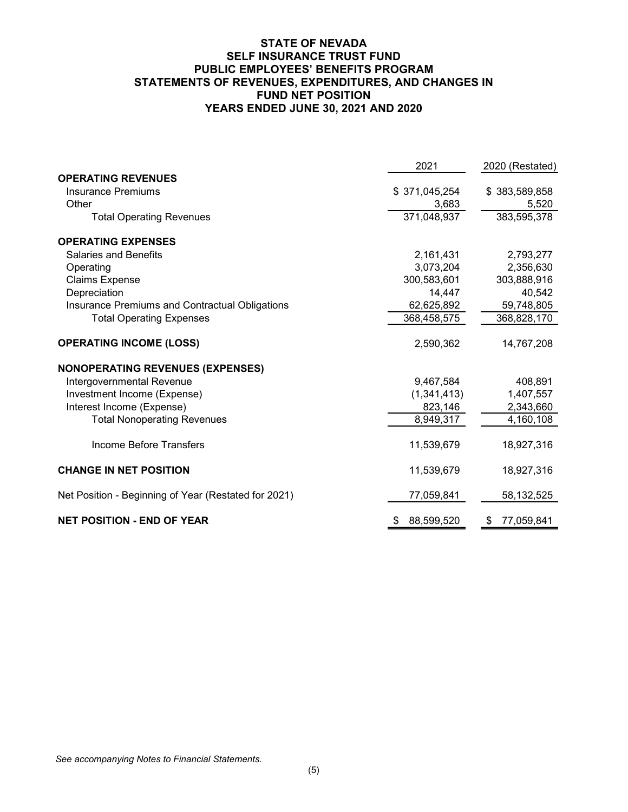### **STATE OF NEVADA SELF INSURANCE TRUST FUND PUBLIC EMPLOYEES' BENEFITS PROGRAM STATEMENTS OF REVENUES, EXPENDITURES, AND CHANGES IN FUND NET POSITION YEARS ENDED JUNE 30, 2021 AND 2020**

|                                                      | 2021             | 2020 (Restated)  |
|------------------------------------------------------|------------------|------------------|
| <b>OPERATING REVENUES</b>                            |                  |                  |
| <b>Insurance Premiums</b>                            | \$371,045,254    | \$383,589,858    |
| Other                                                | 3,683            | 5,520            |
| <b>Total Operating Revenues</b>                      | 371,048,937      | 383,595,378      |
| <b>OPERATING EXPENSES</b>                            |                  |                  |
| <b>Salaries and Benefits</b>                         | 2,161,431        | 2,793,277        |
| Operating                                            | 3,073,204        | 2,356,630        |
| <b>Claims Expense</b>                                | 300,583,601      | 303,888,916      |
| Depreciation                                         | 14,447           | 40,542           |
| Insurance Premiums and Contractual Obligations       | 62,625,892       | 59,748,805       |
| <b>Total Operating Expenses</b>                      | 368,458,575      | 368,828,170      |
| <b>OPERATING INCOME (LOSS)</b>                       | 2,590,362        | 14,767,208       |
| <b>NONOPERATING REVENUES (EXPENSES)</b>              |                  |                  |
| Intergovernmental Revenue                            | 9,467,584        | 408,891          |
| Investment Income (Expense)                          | (1, 341, 413)    | 1,407,557        |
| Interest Income (Expense)                            | 823,146          | 2,343,660        |
| <b>Total Nonoperating Revenues</b>                   | 8,949,317        | 4,160,108        |
| Income Before Transfers                              | 11,539,679       | 18,927,316       |
| <b>CHANGE IN NET POSITION</b>                        | 11,539,679       | 18,927,316       |
| Net Position - Beginning of Year (Restated for 2021) | 77,059,841       | 58,132,525       |
| <b>NET POSITION - END OF YEAR</b>                    | 88,599,520<br>\$ | 77,059,841<br>\$ |

*See accompanying Notes to Financial Statements.*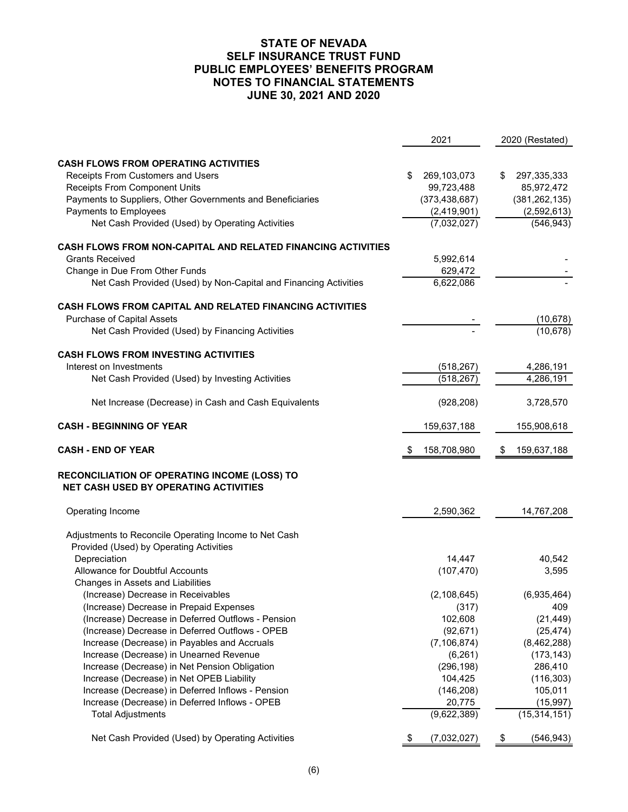|                                                                                              | 2021                  | 2020 (Restated)             |
|----------------------------------------------------------------------------------------------|-----------------------|-----------------------------|
|                                                                                              |                       |                             |
| <b>CASH FLOWS FROM OPERATING ACTIVITIES</b>                                                  |                       |                             |
| Receipts From Customers and Users                                                            | 269,103,073<br>\$     | \$<br>297,335,333           |
| <b>Receipts From Component Units</b>                                                         | 99,723,488            | 85,972,472                  |
| Payments to Suppliers, Other Governments and Beneficiaries                                   | (373, 438, 687)       | (381, 262, 135)             |
| Payments to Employees                                                                        | (2,419,901)           | (2,592,613)                 |
| Net Cash Provided (Used) by Operating Activities                                             | (7,032,027)           | (546, 943)                  |
| <b>CASH FLOWS FROM NON-CAPITAL AND RELATED FINANCING ACTIVITIES</b>                          |                       |                             |
| <b>Grants Received</b>                                                                       | 5,992,614             |                             |
| Change in Due From Other Funds                                                               | 629,472               |                             |
| Net Cash Provided (Used) by Non-Capital and Financing Activities                             | 6,622,086             |                             |
| CASH FLOWS FROM CAPITAL AND RELATED FINANCING ACTIVITIES                                     |                       |                             |
| Purchase of Capital Assets                                                                   |                       | (10, 678)                   |
| Net Cash Provided (Used) by Financing Activities                                             |                       | (10, 678)                   |
| <b>CASH FLOWS FROM INVESTING ACTIVITIES</b>                                                  |                       |                             |
| Interest on Investments                                                                      | (518, 267)            | 4,286,191                   |
| Net Cash Provided (Used) by Investing Activities                                             | (518, 267)            | 4,286,191                   |
|                                                                                              |                       |                             |
| Net Increase (Decrease) in Cash and Cash Equivalents                                         | (928, 208)            | 3,728,570                   |
| <b>CASH - BEGINNING OF YEAR</b>                                                              | 159,637,188           | 155,908,618                 |
|                                                                                              |                       |                             |
| <b>CASH - END OF YEAR</b>                                                                    | 158,708,980<br>\$     | 159,637,188<br>\$           |
| RECONCILIATION OF OPERATING INCOME (LOSS) TO<br><b>NET CASH USED BY OPERATING ACTIVITIES</b> |                       |                             |
| Operating Income                                                                             | 2,590,362             | 14,767,208                  |
|                                                                                              |                       |                             |
| Adjustments to Reconcile Operating Income to Net Cash                                        |                       |                             |
| Provided (Used) by Operating Activities                                                      |                       |                             |
| Depreciation                                                                                 | 14,447                | 40,542                      |
| Allowance for Doubtful Accounts                                                              | (107, 470)            | 3,595                       |
| Changes in Assets and Liabilities                                                            |                       |                             |
| (Increase) Decrease in Receivables                                                           | (2, 108, 645)         | (6,935,464)                 |
| (Increase) Decrease in Prepaid Expenses                                                      | (317)                 | 409                         |
| (Increase) Decrease in Deferred Outflows - Pension                                           | 102,608               | (21, 449)                   |
| (Increase) Decrease in Deferred Outflows - OPEB                                              | (92, 671)             | (25, 474)                   |
| Increase (Decrease) in Payables and Accruals                                                 | (7, 106, 874)         | (8,462,288)                 |
| Increase (Decrease) in Unearned Revenue                                                      | (6, 261)              | (173, 143)                  |
| Increase (Decrease) in Net Pension Obligation                                                | (296, 198)            | 286,410                     |
| Increase (Decrease) in Net OPEB Liability                                                    | 104,425               | (116, 303)                  |
| Increase (Decrease) in Deferred Inflows - Pension                                            | (146, 208)            | 105,011                     |
| Increase (Decrease) in Deferred Inflows - OPEB<br><b>Total Adjustments</b>                   | 20,775<br>(9,622,389) | (15, 997)<br>(15, 314, 151) |
| Net Cash Provided (Used) by Operating Activities                                             | (7,032,027)<br>\$     | \$<br>(546, 943)            |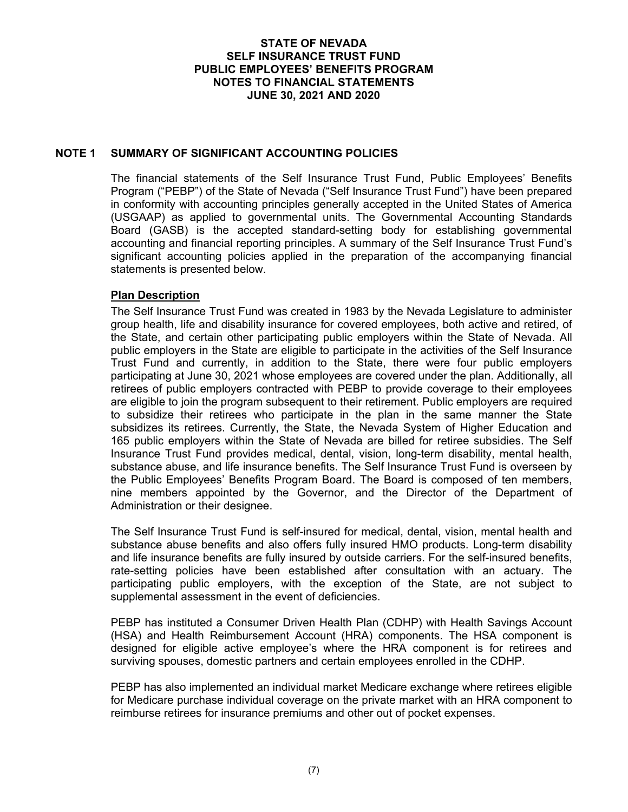## **NOTE 1 SUMMARY OF SIGNIFICANT ACCOUNTING POLICIES**

The financial statements of the Self Insurance Trust Fund, Public Employees' Benefits Program ("PEBP") of the State of Nevada ("Self Insurance Trust Fund") have been prepared in conformity with accounting principles generally accepted in the United States of America (USGAAP) as applied to governmental units. The Governmental Accounting Standards Board (GASB) is the accepted standard-setting body for establishing governmental accounting and financial reporting principles. A summary of the Self Insurance Trust Fund's significant accounting policies applied in the preparation of the accompanying financial statements is presented below.

### **Plan Description**

The Self Insurance Trust Fund was created in 1983 by the Nevada Legislature to administer group health, life and disability insurance for covered employees, both active and retired, of the State, and certain other participating public employers within the State of Nevada. All public employers in the State are eligible to participate in the activities of the Self Insurance Trust Fund and currently, in addition to the State, there were four public employers participating at June 30, 2021 whose employees are covered under the plan. Additionally, all retirees of public employers contracted with PEBP to provide coverage to their employees are eligible to join the program subsequent to their retirement. Public employers are required to subsidize their retirees who participate in the plan in the same manner the State subsidizes its retirees. Currently, the State, the Nevada System of Higher Education and 165 public employers within the State of Nevada are billed for retiree subsidies. The Self Insurance Trust Fund provides medical, dental, vision, long-term disability, mental health, substance abuse, and life insurance benefits. The Self Insurance Trust Fund is overseen by the Public Employees' Benefits Program Board. The Board is composed of ten members, nine members appointed by the Governor, and the Director of the Department of Administration or their designee.

The Self Insurance Trust Fund is self-insured for medical, dental, vision, mental health and substance abuse benefits and also offers fully insured HMO products. Long-term disability and life insurance benefits are fully insured by outside carriers. For the self-insured benefits, rate-setting policies have been established after consultation with an actuary. The participating public employers, with the exception of the State, are not subject to supplemental assessment in the event of deficiencies.

PEBP has instituted a Consumer Driven Health Plan (CDHP) with Health Savings Account (HSA) and Health Reimbursement Account (HRA) components. The HSA component is designed for eligible active employee's where the HRA component is for retirees and surviving spouses, domestic partners and certain employees enrolled in the CDHP.

PEBP has also implemented an individual market Medicare exchange where retirees eligible for Medicare purchase individual coverage on the private market with an HRA component to reimburse retirees for insurance premiums and other out of pocket expenses.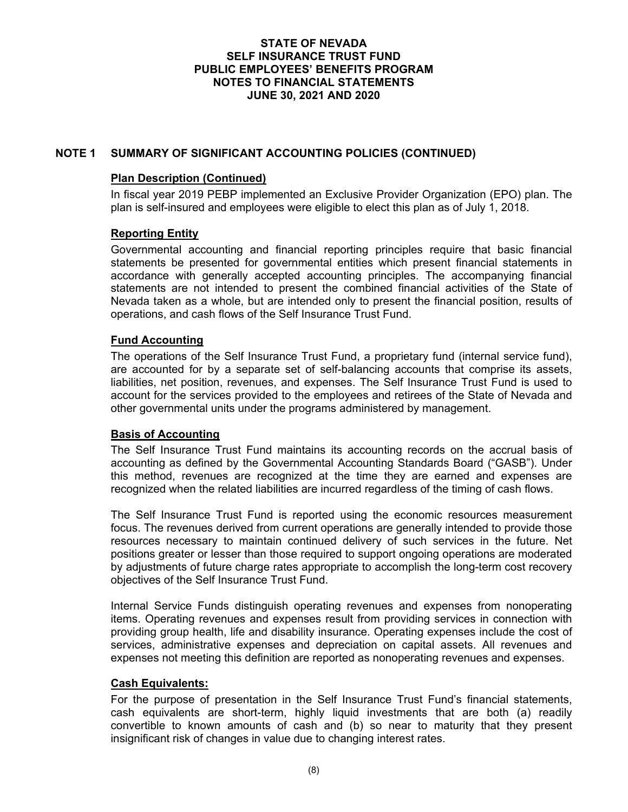# **NOTE 1 SUMMARY OF SIGNIFICANT ACCOUNTING POLICIES (CONTINUED)**

## **Plan Description (Continued)**

In fiscal year 2019 PEBP implemented an Exclusive Provider Organization (EPO) plan. The plan is self-insured and employees were eligible to elect this plan as of July 1, 2018.

# **Reporting Entity**

Governmental accounting and financial reporting principles require that basic financial statements be presented for governmental entities which present financial statements in accordance with generally accepted accounting principles. The accompanying financial statements are not intended to present the combined financial activities of the State of Nevada taken as a whole, but are intended only to present the financial position, results of operations, and cash flows of the Self Insurance Trust Fund.

# **Fund Accounting**

The operations of the Self Insurance Trust Fund, a proprietary fund (internal service fund), are accounted for by a separate set of self-balancing accounts that comprise its assets, liabilities, net position, revenues, and expenses. The Self Insurance Trust Fund is used to account for the services provided to the employees and retirees of the State of Nevada and other governmental units under the programs administered by management.

## **Basis of Accounting**

The Self Insurance Trust Fund maintains its accounting records on the accrual basis of accounting as defined by the Governmental Accounting Standards Board ("GASB"). Under this method, revenues are recognized at the time they are earned and expenses are recognized when the related liabilities are incurred regardless of the timing of cash flows.

The Self Insurance Trust Fund is reported using the economic resources measurement focus. The revenues derived from current operations are generally intended to provide those resources necessary to maintain continued delivery of such services in the future. Net positions greater or lesser than those required to support ongoing operations are moderated by adjustments of future charge rates appropriate to accomplish the long-term cost recovery objectives of the Self Insurance Trust Fund.

Internal Service Funds distinguish operating revenues and expenses from nonoperating items. Operating revenues and expenses result from providing services in connection with providing group health, life and disability insurance. Operating expenses include the cost of services, administrative expenses and depreciation on capital assets. All revenues and expenses not meeting this definition are reported as nonoperating revenues and expenses.

## **Cash Equivalents:**

For the purpose of presentation in the Self Insurance Trust Fund's financial statements, cash equivalents are short-term, highly liquid investments that are both (a) readily convertible to known amounts of cash and (b) so near to maturity that they present insignificant risk of changes in value due to changing interest rates.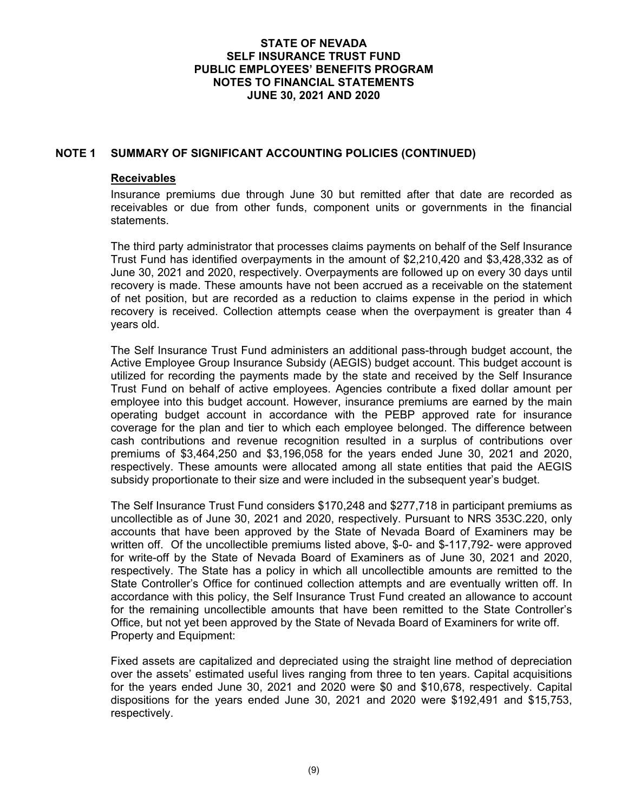## **NOTE 1 SUMMARY OF SIGNIFICANT ACCOUNTING POLICIES (CONTINUED)**

#### **Receivables**

Insurance premiums due through June 30 but remitted after that date are recorded as receivables or due from other funds, component units or governments in the financial statements.

The third party administrator that processes claims payments on behalf of the Self Insurance Trust Fund has identified overpayments in the amount of \$2,210,420 and \$3,428,332 as of June 30, 2021 and 2020, respectively. Overpayments are followed up on every 30 days until recovery is made. These amounts have not been accrued as a receivable on the statement of net position, but are recorded as a reduction to claims expense in the period in which recovery is received. Collection attempts cease when the overpayment is greater than 4 years old.

The Self Insurance Trust Fund administers an additional pass-through budget account, the Active Employee Group Insurance Subsidy (AEGIS) budget account. This budget account is utilized for recording the payments made by the state and received by the Self Insurance Trust Fund on behalf of active employees. Agencies contribute a fixed dollar amount per employee into this budget account. However, insurance premiums are earned by the main operating budget account in accordance with the PEBP approved rate for insurance coverage for the plan and tier to which each employee belonged. The difference between cash contributions and revenue recognition resulted in a surplus of contributions over premiums of \$3,464,250 and \$3,196,058 for the years ended June 30, 2021 and 2020, respectively. These amounts were allocated among all state entities that paid the AEGIS subsidy proportionate to their size and were included in the subsequent year's budget.

The Self Insurance Trust Fund considers \$170,248 and \$277,718 in participant premiums as uncollectible as of June 30, 2021 and 2020, respectively. Pursuant to NRS 353C.220, only accounts that have been approved by the State of Nevada Board of Examiners may be written off. Of the uncollectible premiums listed above, \$-0- and \$-117,792- were approved for write-off by the State of Nevada Board of Examiners as of June 30, 2021 and 2020, respectively. The State has a policy in which all uncollectible amounts are remitted to the State Controller's Office for continued collection attempts and are eventually written off. In accordance with this policy, the Self Insurance Trust Fund created an allowance to account for the remaining uncollectible amounts that have been remitted to the State Controller's Office, but not yet been approved by the State of Nevada Board of Examiners for write off. Property and Equipment:

Fixed assets are capitalized and depreciated using the straight line method of depreciation over the assets' estimated useful lives ranging from three to ten years. Capital acquisitions for the years ended June 30, 2021 and 2020 were \$0 and \$10,678, respectively. Capital dispositions for the years ended June 30, 2021 and 2020 were \$192,491 and \$15,753, respectively.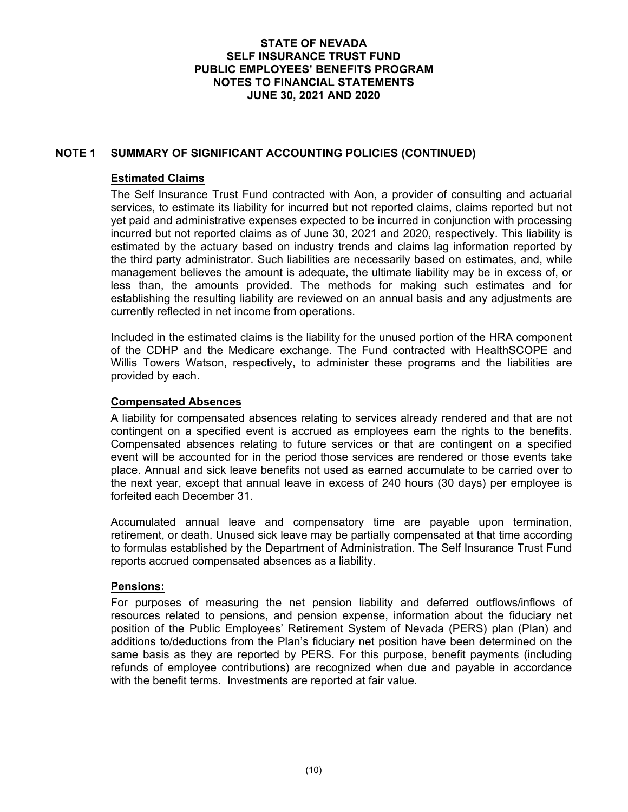# **NOTE 1 SUMMARY OF SIGNIFICANT ACCOUNTING POLICIES (CONTINUED)**

## **Estimated Claims**

The Self Insurance Trust Fund contracted with Aon, a provider of consulting and actuarial services, to estimate its liability for incurred but not reported claims, claims reported but not yet paid and administrative expenses expected to be incurred in conjunction with processing incurred but not reported claims as of June 30, 2021 and 2020, respectively. This liability is estimated by the actuary based on industry trends and claims lag information reported by the third party administrator. Such liabilities are necessarily based on estimates, and, while management believes the amount is adequate, the ultimate liability may be in excess of, or less than, the amounts provided. The methods for making such estimates and for establishing the resulting liability are reviewed on an annual basis and any adjustments are currently reflected in net income from operations.

Included in the estimated claims is the liability for the unused portion of the HRA component of the CDHP and the Medicare exchange. The Fund contracted with HealthSCOPE and Willis Towers Watson, respectively, to administer these programs and the liabilities are provided by each.

## **Compensated Absences**

A liability for compensated absences relating to services already rendered and that are not contingent on a specified event is accrued as employees earn the rights to the benefits. Compensated absences relating to future services or that are contingent on a specified event will be accounted for in the period those services are rendered or those events take place. Annual and sick leave benefits not used as earned accumulate to be carried over to the next year, except that annual leave in excess of 240 hours (30 days) per employee is forfeited each December 31.

Accumulated annual leave and compensatory time are payable upon termination, retirement, or death. Unused sick leave may be partially compensated at that time according to formulas established by the Department of Administration. The Self Insurance Trust Fund reports accrued compensated absences as a liability.

## **Pensions:**

For purposes of measuring the net pension liability and deferred outflows/inflows of resources related to pensions, and pension expense, information about the fiduciary net position of the Public Employees' Retirement System of Nevada (PERS) plan (Plan) and additions to/deductions from the Plan's fiduciary net position have been determined on the same basis as they are reported by PERS. For this purpose, benefit payments (including refunds of employee contributions) are recognized when due and payable in accordance with the benefit terms. Investments are reported at fair value.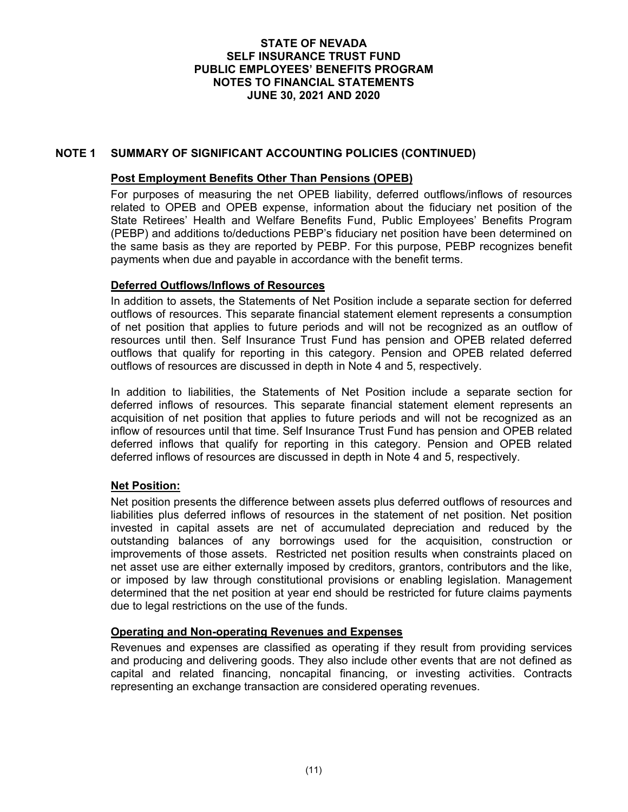## **NOTE 1 SUMMARY OF SIGNIFICANT ACCOUNTING POLICIES (CONTINUED)**

### **Post Employment Benefits Other Than Pensions (OPEB)**

For purposes of measuring the net OPEB liability, deferred outflows/inflows of resources related to OPEB and OPEB expense, information about the fiduciary net position of the State Retirees' Health and Welfare Benefits Fund, Public Employees' Benefits Program (PEBP) and additions to/deductions PEBP's fiduciary net position have been determined on the same basis as they are reported by PEBP. For this purpose, PEBP recognizes benefit payments when due and payable in accordance with the benefit terms.

### **Deferred Outflows/Inflows of Resources**

In addition to assets, the Statements of Net Position include a separate section for deferred outflows of resources. This separate financial statement element represents a consumption of net position that applies to future periods and will not be recognized as an outflow of resources until then. Self Insurance Trust Fund has pension and OPEB related deferred outflows that qualify for reporting in this category. Pension and OPEB related deferred outflows of resources are discussed in depth in Note 4 and 5, respectively.

In addition to liabilities, the Statements of Net Position include a separate section for deferred inflows of resources. This separate financial statement element represents an acquisition of net position that applies to future periods and will not be recognized as an inflow of resources until that time. Self Insurance Trust Fund has pension and OPEB related deferred inflows that qualify for reporting in this category. Pension and OPEB related deferred inflows of resources are discussed in depth in Note 4 and 5, respectively.

## **Net Position:**

Net position presents the difference between assets plus deferred outflows of resources and liabilities plus deferred inflows of resources in the statement of net position. Net position invested in capital assets are net of accumulated depreciation and reduced by the outstanding balances of any borrowings used for the acquisition, construction or improvements of those assets. Restricted net position results when constraints placed on net asset use are either externally imposed by creditors, grantors, contributors and the like, or imposed by law through constitutional provisions or enabling legislation. Management determined that the net position at year end should be restricted for future claims payments due to legal restrictions on the use of the funds.

### **Operating and Non-operating Revenues and Expenses**

Revenues and expenses are classified as operating if they result from providing services and producing and delivering goods. They also include other events that are not defined as capital and related financing, noncapital financing, or investing activities. Contracts representing an exchange transaction are considered operating revenues.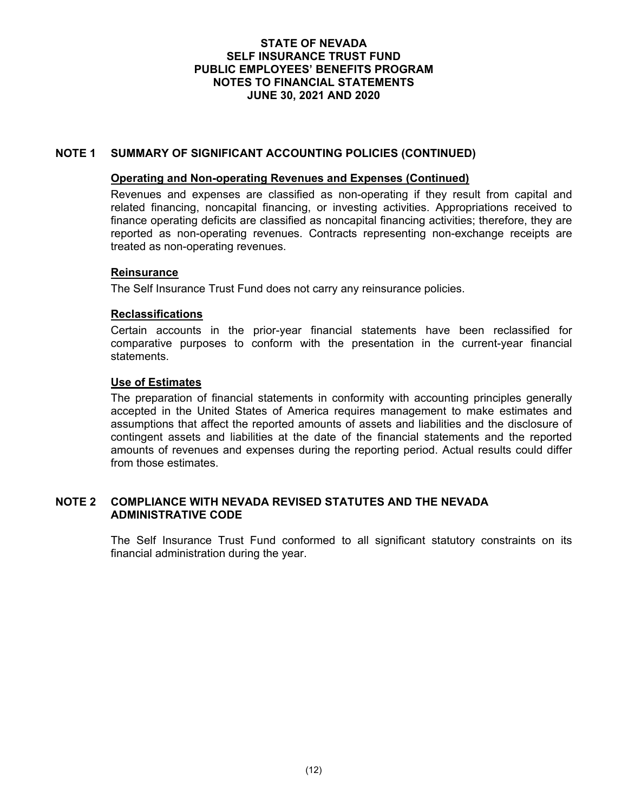## **NOTE 1 SUMMARY OF SIGNIFICANT ACCOUNTING POLICIES (CONTINUED)**

#### **Operating and Non-operating Revenues and Expenses (Continued)**

Revenues and expenses are classified as non-operating if they result from capital and related financing, noncapital financing, or investing activities. Appropriations received to finance operating deficits are classified as noncapital financing activities; therefore, they are reported as non-operating revenues. Contracts representing non-exchange receipts are treated as non-operating revenues.

## **Reinsurance**

The Self Insurance Trust Fund does not carry any reinsurance policies.

### **Reclassifications**

Certain accounts in the prior-year financial statements have been reclassified for comparative purposes to conform with the presentation in the current-year financial statements.

### **Use of Estimates**

The preparation of financial statements in conformity with accounting principles generally accepted in the United States of America requires management to make estimates and assumptions that affect the reported amounts of assets and liabilities and the disclosure of contingent assets and liabilities at the date of the financial statements and the reported amounts of revenues and expenses during the reporting period. Actual results could differ from those estimates.

### **NOTE 2 COMPLIANCE WITH NEVADA REVISED STATUTES AND THE NEVADA ADMINISTRATIVE CODE**

The Self Insurance Trust Fund conformed to all significant statutory constraints on its financial administration during the year.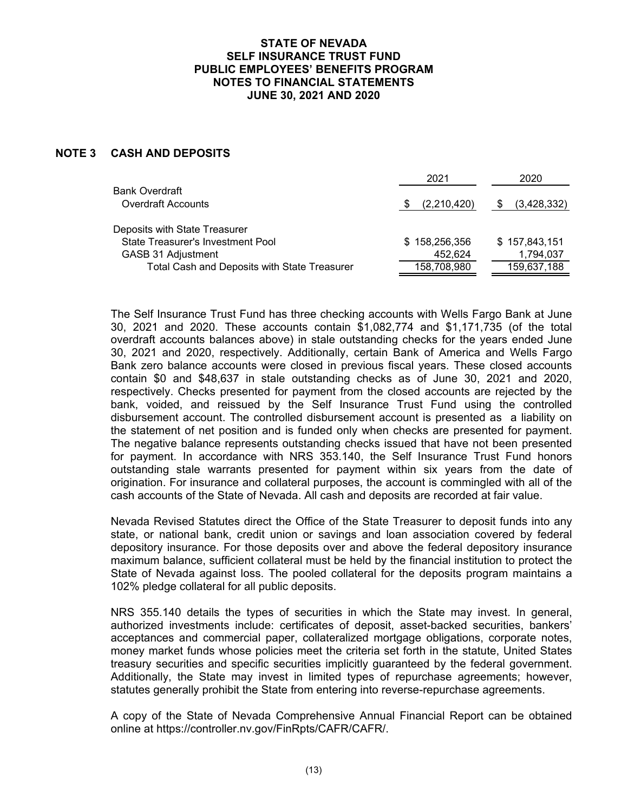## **NOTE 3 CASH AND DEPOSITS**

| 2021          | 2020          |
|---------------|---------------|
|               |               |
| (2,210,420)   | (3,428,332)   |
|               |               |
| \$158,256,356 | \$157,843,151 |
| 452.624       | 1,794,037     |
| 158,708,980   | 159,637,188   |
|               |               |

The Self Insurance Trust Fund has three checking accounts with Wells Fargo Bank at June 30, 2021 and 2020. These accounts contain \$1,082,774 and \$1,171,735 (of the total overdraft accounts balances above) in stale outstanding checks for the years ended June 30, 2021 and 2020, respectively. Additionally, certain Bank of America and Wells Fargo Bank zero balance accounts were closed in previous fiscal years. These closed accounts contain \$0 and \$48,637 in stale outstanding checks as of June 30, 2021 and 2020, respectively. Checks presented for payment from the closed accounts are rejected by the bank, voided, and reissued by the Self Insurance Trust Fund using the controlled disbursement account. The controlled disbursement account is presented as a liability on the statement of net position and is funded only when checks are presented for payment. The negative balance represents outstanding checks issued that have not been presented for payment. In accordance with NRS 353.140, the Self Insurance Trust Fund honors outstanding stale warrants presented for payment within six years from the date of origination. For insurance and collateral purposes, the account is commingled with all of the cash accounts of the State of Nevada. All cash and deposits are recorded at fair value.

Nevada Revised Statutes direct the Office of the State Treasurer to deposit funds into any state, or national bank, credit union or savings and loan association covered by federal depository insurance. For those deposits over and above the federal depository insurance maximum balance, sufficient collateral must be held by the financial institution to protect the State of Nevada against loss. The pooled collateral for the deposits program maintains a 102% pledge collateral for all public deposits.

NRS 355.140 details the types of securities in which the State may invest. In general, authorized investments include: certificates of deposit, asset-backed securities, bankers' acceptances and commercial paper, collateralized mortgage obligations, corporate notes, money market funds whose policies meet the criteria set forth in the statute, United States treasury securities and specific securities implicitly guaranteed by the federal government. Additionally, the State may invest in limited types of repurchase agreements; however, statutes generally prohibit the State from entering into reverse-repurchase agreements.

A copy of the State of Nevada Comprehensive Annual Financial Report can be obtained online at https://controller.nv.gov/FinRpts/CAFR/CAFR/.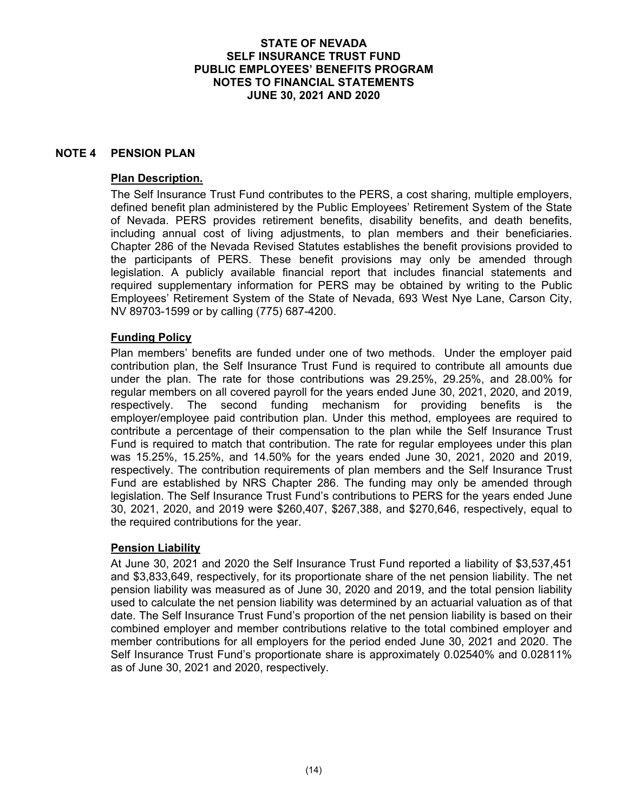## **NOTE 4 PENSION PLAN**

### **Plan Description.**

The Self Insurance Trust Fund contributes to the PERS, a cost sharing, multiple employers, defined benefit plan administered by the Public Employees' Retirement System of the State of Nevada. PERS provides retirement benefits, disability benefits, and death benefits, including annual cost of living adjustments, to plan members and their beneficiaries. Chapter 286 of the Nevada Revised Statutes establishes the benefit provisions provided to the participants of PERS. These benefit provisions may only be amended through legislation. A publicly available financial report that includes financial statements and required supplementary information for PERS may be obtained by writing to the Public Employees' Retirement System of the State of Nevada, 693 West Nye Lane, Carson City, NV 89703-1599 or by calling (775) 687-4200.

## **Funding Policy**

Plan members' benefits are funded under one of two methods. Under the employer paid contribution plan, the Self Insurance Trust Fund is required to contribute all amounts due under the plan. The rate for those contributions was 29.25%, 29.25%, and 28.00% for regular members on all covered payroll for the years ended June 30, 2021, 2020, and 2019, respectively. The second funding mechanism for providing benefits is the employer/employee paid contribution plan. Under this method, employees are required to contribute a percentage of their compensation to the plan while the Self Insurance Trust Fund is required to match that contribution. The rate for regular employees under this plan was 15.25%, 15.25%, and 14.50% for the years ended June 30, 2021, 2020 and 2019, respectively. The contribution requirements of plan members and the Self Insurance Trust Fund are established by NRS Chapter 286. The funding may only be amended through legislation. The Self Insurance Trust Fund's contributions to PERS for the years ended June 30, 2021, 2020, and 2019 were \$260,407, \$267,388, and \$270,646, respectively, equal to the required contributions for the year.

## **Pension Liability**

At June 30, 2021 and 2020 the Self Insurance Trust Fund reported a liability of \$3,537,451 and \$3,833,649, respectively, for its proportionate share of the net pension liability. The net pension liability was measured as of June 30, 2020 and 2019, and the total pension liability used to calculate the net pension liability was determined by an actuarial valuation as of that date. The Self Insurance Trust Fund's proportion of the net pension liability is based on their combined employer and member contributions relative to the total combined employer and member contributions for all employers for the period ended June 30, 2021 and 2020. The Self Insurance Trust Fund's proportionate share is approximately 0.02540% and 0.02811% as of June 30, 2021 and 2020, respectively.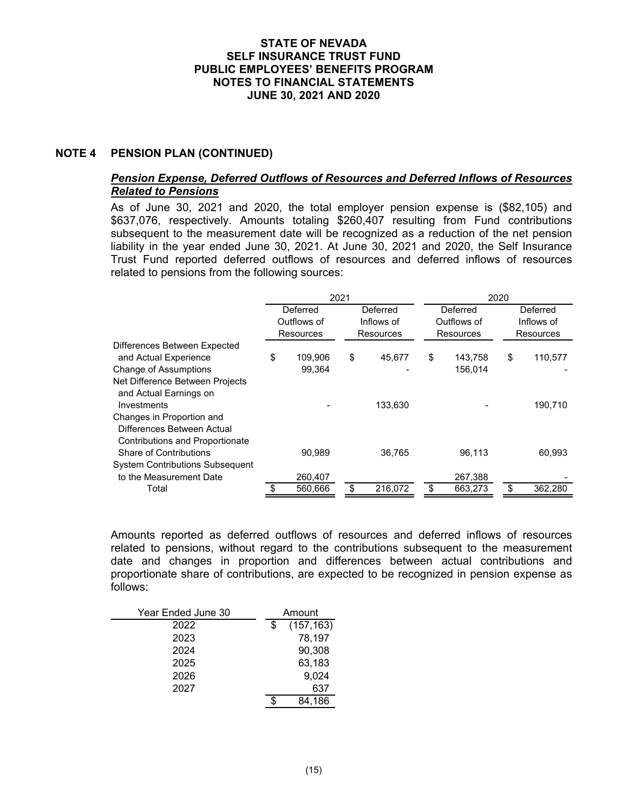## **NOTE 4 PENSION PLAN (CONTINUED)**

## *Pension Expense, Deferred Outflows of Resources and Deferred Inflows of Resources Related to Pensions*

As of June 30, 2021 and 2020, the total employer pension expense is (\$82,105) and \$637,076, respectively. Amounts totaling \$260,407 resulting from Fund contributions subsequent to the measurement date will be recognized as a reduction of the net pension liability in the year ended June 30, 2021. At June 30, 2021 and 2020, the Self Insurance Trust Fund reported deferred outflows of resources and deferred inflows of resources related to pensions from the following sources:

|                                                                                                   | 2021 |                      |    |                        | 2020     |             |          |            |
|---------------------------------------------------------------------------------------------------|------|----------------------|----|------------------------|----------|-------------|----------|------------|
|                                                                                                   |      | Deferred<br>Deferred |    |                        | Deferred |             | Deferred |            |
|                                                                                                   |      | Outflows of          |    | Inflows of             |          | Outflows of |          | Inflows of |
|                                                                                                   |      | Resources            |    | Resources<br>Resources |          |             |          | Resources  |
| Differences Between Expected                                                                      |      |                      |    |                        |          |             |          |            |
| and Actual Experience                                                                             | \$   | 109.906              | \$ | 45,677                 | \$       | 143,758     | \$       | 110,577    |
| <b>Change of Assumptions</b>                                                                      |      | 99.364               |    |                        |          | 156,014     |          |            |
| Net Difference Between Projects<br>and Actual Earnings on                                         |      |                      |    |                        |          |             |          |            |
| Investments                                                                                       |      |                      |    | 133,630                |          |             |          | 190,710    |
| Changes in Proportion and<br>Differences Between Actual<br><b>Contributions and Proportionate</b> |      |                      |    |                        |          |             |          |            |
| Share of Contributions                                                                            |      | 90,989               |    | 36,765                 |          | 96,113      |          | 60,993     |
| <b>System Contributions Subsequent</b>                                                            |      |                      |    |                        |          |             |          |            |
| to the Measurement Date                                                                           |      | 260,407              |    |                        |          | 267,388     |          |            |
| Total                                                                                             |      | 560,666              |    | 216,072                | \$.      | 663,273     |          | 362,280    |

Amounts reported as deferred outflows of resources and deferred inflows of resources related to pensions, without regard to the contributions subsequent to the measurement date and changes in proportion and differences between actual contributions and proportionate share of contributions, are expected to be recognized in pension expense as follows:

| Year Ended June 30 | Amount |            |
|--------------------|--------|------------|
| 2022               | \$     | (157, 163) |
| 2023               |        | 78,197     |
| 2024               |        | 90,308     |
| 2025               |        | 63,183     |
| 2026               |        | 9,024      |
| 2027               |        | 637        |
|                    | S      | 84,186     |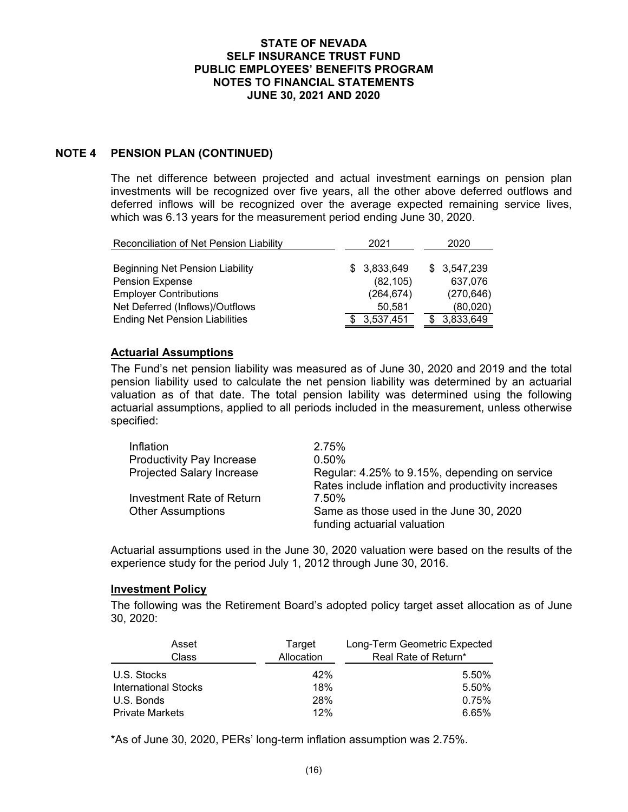## **NOTE 4 PENSION PLAN (CONTINUED)**

The net difference between projected and actual investment earnings on pension plan investments will be recognized over five years, all the other above deferred outflows and deferred inflows will be recognized over the average expected remaining service lives, which was 6.13 years for the measurement period ending June 30, 2020.

| Reconciliation of Net Pension Liability | 2021        | 2020        |
|-----------------------------------------|-------------|-------------|
|                                         |             |             |
| <b>Beginning Net Pension Liability</b>  | \$3,833,649 | \$3,547,239 |
| Pension Expense                         | (82, 105)   | 637,076     |
| <b>Employer Contributions</b>           | (264, 674)  | (270, 646)  |
| Net Deferred (Inflows)/Outflows         | 50,581      | (80,020)    |
| <b>Ending Net Pension Liabilities</b>   | 3,537,451   | 3,833,649   |

### **Actuarial Assumptions**

The Fund's net pension liability was measured as of June 30, 2020 and 2019 and the total pension liability used to calculate the net pension liability was determined by an actuarial valuation as of that date. The total pension lability was determined using the following actuarial assumptions, applied to all periods included in the measurement, unless otherwise specified:

| Inflation                        | 2.75%                                                                  |
|----------------------------------|------------------------------------------------------------------------|
| <b>Productivity Pay Increase</b> | $0.50\%$                                                               |
| <b>Projected Salary Increase</b> | Regular: 4.25% to 9.15%, depending on service                          |
|                                  | Rates include inflation and productivity increases                     |
| Investment Rate of Return        | 7.50%                                                                  |
| <b>Other Assumptions</b>         | Same as those used in the June 30, 2020<br>funding actuarial valuation |

Actuarial assumptions used in the June 30, 2020 valuation were based on the results of the experience study for the period July 1, 2012 through June 30, 2016.

#### **Investment Policy**

The following was the Retirement Board's adopted policy target asset allocation as of June 30, 2020:

| Asset<br>Class              | Target<br>Allocation | Long-Term Geometric Expected<br>Real Rate of Return* |
|-----------------------------|----------------------|------------------------------------------------------|
| U.S. Stocks                 | 42%                  | 5.50%                                                |
| <b>International Stocks</b> | 18%                  | 5.50%                                                |
| U.S. Bonds                  | 28%                  | 0.75%                                                |
| <b>Private Markets</b>      | 12%                  | 6.65%                                                |

\*As of June 30, 2020, PERs' long-term inflation assumption was 2.75%.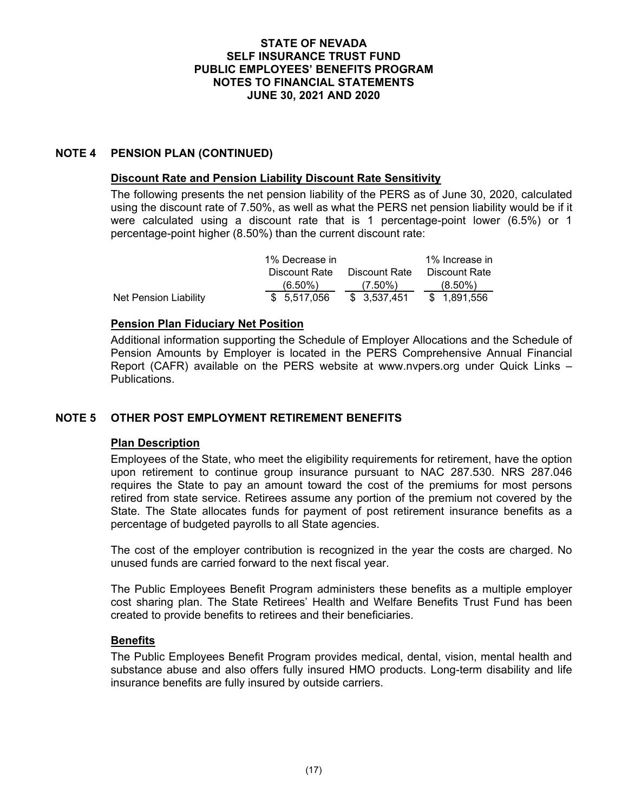## **NOTE 4 PENSION PLAN (CONTINUED)**

#### **Discount Rate and Pension Liability Discount Rate Sensitivity**

The following presents the net pension liability of the PERS as of June 30, 2020, calculated using the discount rate of 7.50%, as well as what the PERS net pension liability would be if it were calculated using a discount rate that is 1 percentage-point lower (6.5%) or 1 percentage-point higher (8.50%) than the current discount rate:

|                       | 1% Decrease in |               | 1% Increase in |
|-----------------------|----------------|---------------|----------------|
|                       | Discount Rate  | Discount Rate | Discount Rate  |
|                       | $(6.50\%)$     | $(7.50\%)$    | $(8.50\%)$     |
| Net Pension Liability | \$ 5.517.056   | \$ 3.537.451  | \$1.891.556    |

## **Pension Plan Fiduciary Net Position**

Additional information supporting the Schedule of Employer Allocations and the Schedule of Pension Amounts by Employer is located in the PERS Comprehensive Annual Financial Report (CAFR) available on the PERS website at www.nvpers.org under Quick Links – Publications.

## **NOTE 5 OTHER POST EMPLOYMENT RETIREMENT BENEFITS**

## **Plan Description**

Employees of the State, who meet the eligibility requirements for retirement, have the option upon retirement to continue group insurance pursuant to NAC 287.530. NRS 287.046 requires the State to pay an amount toward the cost of the premiums for most persons retired from state service. Retirees assume any portion of the premium not covered by the State. The State allocates funds for payment of post retirement insurance benefits as a percentage of budgeted payrolls to all State agencies.

The cost of the employer contribution is recognized in the year the costs are charged. No unused funds are carried forward to the next fiscal year.

The Public Employees Benefit Program administers these benefits as a multiple employer cost sharing plan. The State Retirees' Health and Welfare Benefits Trust Fund has been created to provide benefits to retirees and their beneficiaries.

## **Benefits**

The Public Employees Benefit Program provides medical, dental, vision, mental health and substance abuse and also offers fully insured HMO products. Long-term disability and life insurance benefits are fully insured by outside carriers.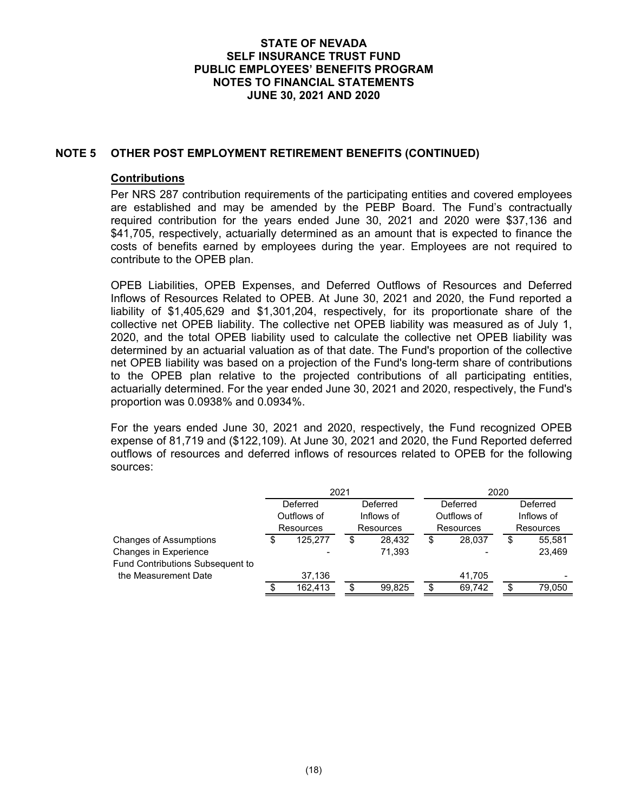### **NOTE 5 OTHER POST EMPLOYMENT RETIREMENT BENEFITS (CONTINUED)**

#### **Contributions**

Per NRS 287 contribution requirements of the participating entities and covered employees are established and may be amended by the PEBP Board. The Fund's contractually required contribution for the years ended June 30, 2021 and 2020 were \$37,136 and \$41,705, respectively, actuarially determined as an amount that is expected to finance the costs of benefits earned by employees during the year. Employees are not required to contribute to the OPEB plan.

OPEB Liabilities, OPEB Expenses, and Deferred Outflows of Resources and Deferred Inflows of Resources Related to OPEB. At June 30, 2021 and 2020, the Fund reported a liability of \$1,405,629 and \$1,301,204, respectively, for its proportionate share of the collective net OPEB liability. The collective net OPEB liability was measured as of July 1, 2020, and the total OPEB liability used to calculate the collective net OPEB liability was determined by an actuarial valuation as of that date. The Fund's proportion of the collective net OPEB liability was based on a projection of the Fund's long-term share of contributions to the OPEB plan relative to the projected contributions of all participating entities, actuarially determined. For the year ended June 30, 2021 and 2020, respectively, the Fund's proportion was 0.0938% and 0.0934%.

For the years ended June 30, 2021 and 2020, respectively, the Fund recognized OPEB expense of 81,719 and (\$122,109). At June 30, 2021 and 2020, the Fund Reported deferred outflows of resources and deferred inflows of resources related to OPEB for the following sources:

|                                  | 2021 |                      |           |            | 2020      |             |           |                          |
|----------------------------------|------|----------------------|-----------|------------|-----------|-------------|-----------|--------------------------|
|                                  |      | Deferred<br>Deferred |           |            |           | Deferred    |           | Deferred                 |
|                                  |      | Outflows of          |           | Inflows of |           | Outflows of |           | Inflows of               |
|                                  |      | <b>Resources</b>     | Resources |            | Resources |             | Resources |                          |
| Changes of Assumptions           | \$   | 125,277              |           | 28.432     | \$        | 28,037      | S         | 55,581                   |
| Changes in Experience            |      |                      |           | 71,393     |           |             |           | 23,469                   |
| Fund Contributions Subsequent to |      |                      |           |            |           |             |           |                          |
| the Measurement Date             |      | 37,136               |           |            |           | 41,705      |           | $\overline{\phantom{0}}$ |
|                                  |      | 162.413              |           | 99,825     | S         | 69,742      | S         | 79,050                   |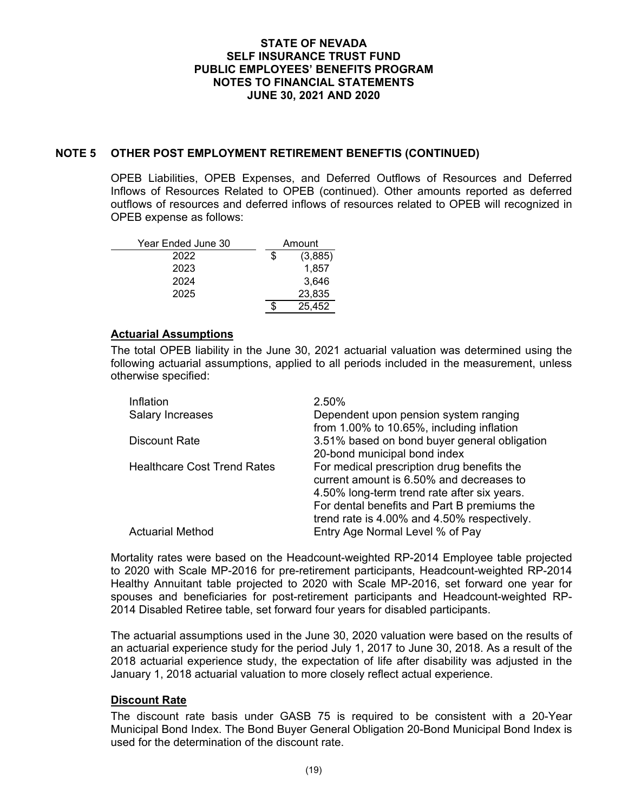### **NOTE 5 OTHER POST EMPLOYMENT RETIREMENT BENEFTIS (CONTINUED)**

OPEB Liabilities, OPEB Expenses, and Deferred Outflows of Resources and Deferred Inflows of Resources Related to OPEB (continued). Other amounts reported as deferred outflows of resources and deferred inflows of resources related to OPEB will recognized in OPEB expense as follows:

| Year Ended June 30 | Amount  |
|--------------------|---------|
| 2022               | (3,885) |
| 2023               | 1,857   |
| 2024               | 3,646   |
| 2025               | 23,835  |
|                    | 25.452  |

#### **Actuarial Assumptions**

The total OPEB liability in the June 30, 2021 actuarial valuation was determined using the following actuarial assumptions, applied to all periods included in the measurement, unless otherwise specified:

| Inflation                          | 2.50%                                        |
|------------------------------------|----------------------------------------------|
| <b>Salary Increases</b>            | Dependent upon pension system ranging        |
|                                    | from 1.00% to 10.65%, including inflation    |
| <b>Discount Rate</b>               | 3.51% based on bond buyer general obligation |
|                                    | 20-bond municipal bond index                 |
| <b>Healthcare Cost Trend Rates</b> | For medical prescription drug benefits the   |
|                                    | current amount is 6.50% and decreases to     |
|                                    | 4.50% long-term trend rate after six years.  |
|                                    | For dental benefits and Part B premiums the  |
|                                    | trend rate is 4.00% and 4.50% respectively.  |
| <b>Actuarial Method</b>            | Entry Age Normal Level % of Pay              |

Mortality rates were based on the Headcount-weighted RP-2014 Employee table projected to 2020 with Scale MP-2016 for pre-retirement participants, Headcount-weighted RP-2014 Healthy Annuitant table projected to 2020 with Scale MP-2016, set forward one year for spouses and beneficiaries for post-retirement participants and Headcount-weighted RP-2014 Disabled Retiree table, set forward four years for disabled participants.

The actuarial assumptions used in the June 30, 2020 valuation were based on the results of an actuarial experience study for the period July 1, 2017 to June 30, 2018. As a result of the 2018 actuarial experience study, the expectation of life after disability was adjusted in the January 1, 2018 actuarial valuation to more closely reflect actual experience.

#### **Discount Rate**

The discount rate basis under GASB 75 is required to be consistent with a 20-Year Municipal Bond Index. The Bond Buyer General Obligation 20-Bond Municipal Bond Index is used for the determination of the discount rate.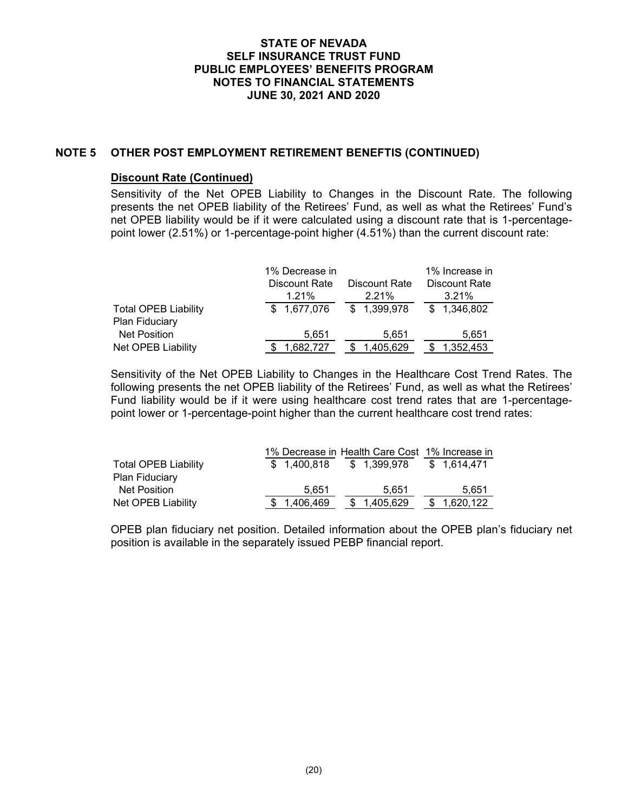### **NOTE 5 OTHER POST EMPLOYMENT RETIREMENT BENEFTIS (CONTINUED)**

### **Discount Rate (Continued)**

Sensitivity of the Net OPEB Liability to Changes in the Discount Rate. The following presents the net OPEB liability of the Retirees' Fund, as well as what the Retirees' Fund's net OPEB liability would be if it were calculated using a discount rate that is 1-percentagepoint lower (2.51%) or 1-percentage-point higher (4.51%) than the current discount rate:

|                             | 1% Decrease in |                                | 1% Increase in |  |  |  |  |  |
|-----------------------------|----------------|--------------------------------|----------------|--|--|--|--|--|
|                             | Discount Rate  | Discount Rate<br>Discount Rate |                |  |  |  |  |  |
|                             | 1.21%          | 2.21%                          | 3.21%          |  |  |  |  |  |
| <b>Total OPEB Liability</b> | \$1,677,076    | \$1,399,978                    | \$1,346,802    |  |  |  |  |  |
| Plan Fiduciary              |                |                                |                |  |  |  |  |  |
| <b>Net Position</b>         | 5.651          | 5.651                          | 5.651          |  |  |  |  |  |
| Net OPEB Liability          | 1.682.727      | 1,405,629                      | 1.352.453      |  |  |  |  |  |

Sensitivity of the Net OPEB Liability to Changes in the Healthcare Cost Trend Rates. The following presents the net OPEB liability of the Retirees' Fund, as well as what the Retirees' Fund liability would be if it were using healthcare cost trend rates that are 1-percentagepoint lower or 1-percentage-point higher than the current healthcare cost trend rates:

|                             |             | 1% Decrease in Health Care Cost 1% Increase in |             |
|-----------------------------|-------------|------------------------------------------------|-------------|
| <b>Total OPEB Liability</b> | \$1.400.818 | \$1.399.978                                    | \$1.614.471 |
| <b>Plan Fiduciary</b>       |             |                                                |             |
| Net Position                | 5.651       | 5.651                                          | 5.651       |
| Net OPEB Liability          | 1,406,469   | \$ 1,405,629                                   | 1,620,122   |

OPEB plan fiduciary net position. Detailed information about the OPEB plan's fiduciary net position is available in the separately issued PEBP financial report.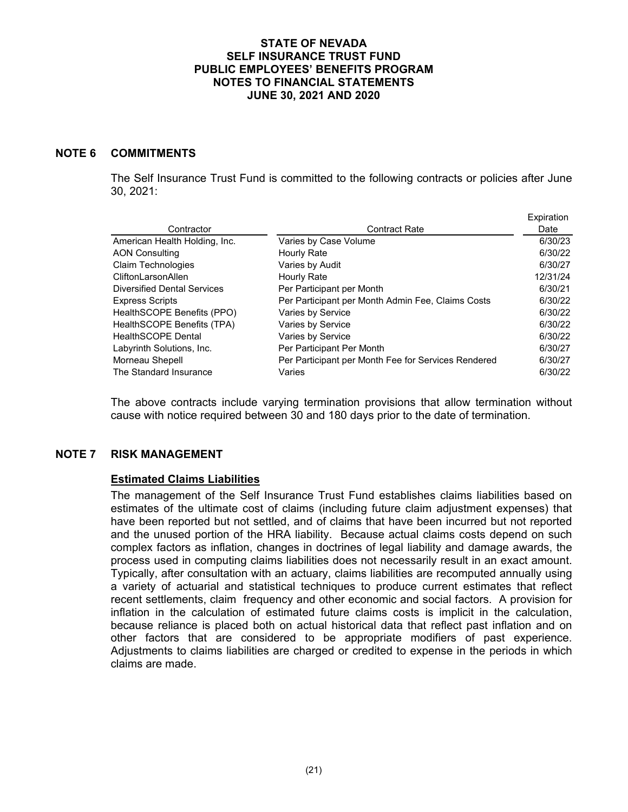### **NOTE 6 COMMITMENTS**

The Self Insurance Trust Fund is committed to the following contracts or policies after June 30, 2021:

|                                    |                                                     | Expiration |
|------------------------------------|-----------------------------------------------------|------------|
| Contractor                         | <b>Contract Rate</b>                                | Date       |
| American Health Holding, Inc.      | Varies by Case Volume                               | 6/30/23    |
| <b>AON Consulting</b>              | Hourly Rate                                         | 6/30/22    |
| Claim Technologies                 | Varies by Audit                                     | 6/30/27    |
| CliftonLarsonAllen                 | Hourly Rate                                         | 12/31/24   |
| <b>Diversified Dental Services</b> | Per Participant per Month                           | 6/30/21    |
| <b>Express Scripts</b>             | Per Participant per Month Admin Fee, Claims Costs   | 6/30/22    |
| HealthSCOPE Benefits (PPO)         | Varies by Service                                   | 6/30/22    |
| HealthSCOPE Benefits (TPA)         | Varies by Service                                   | 6/30/22    |
| <b>HealthSCOPE Dental</b>          | Varies by Service                                   | 6/30/22    |
| Labyrinth Solutions, Inc.          | Per Participant Per Month                           | 6/30/27    |
| Morneau Shepell                    | Per Participant per Month Fee for Services Rendered | 6/30/27    |
| The Standard Insurance             | Varies                                              | 6/30/22    |

The above contracts include varying termination provisions that allow termination without cause with notice required between 30 and 180 days prior to the date of termination.

## **NOTE 7 RISK MANAGEMENT**

#### **Estimated Claims Liabilities**

The management of the Self Insurance Trust Fund establishes claims liabilities based on estimates of the ultimate cost of claims (including future claim adjustment expenses) that have been reported but not settled, and of claims that have been incurred but not reported and the unused portion of the HRA liability. Because actual claims costs depend on such complex factors as inflation, changes in doctrines of legal liability and damage awards, the process used in computing claims liabilities does not necessarily result in an exact amount. Typically, after consultation with an actuary, claims liabilities are recomputed annually using a variety of actuarial and statistical techniques to produce current estimates that reflect recent settlements, claim frequency and other economic and social factors. A provision for inflation in the calculation of estimated future claims costs is implicit in the calculation, because reliance is placed both on actual historical data that reflect past inflation and on other factors that are considered to be appropriate modifiers of past experience. Adjustments to claims liabilities are charged or credited to expense in the periods in which claims are made.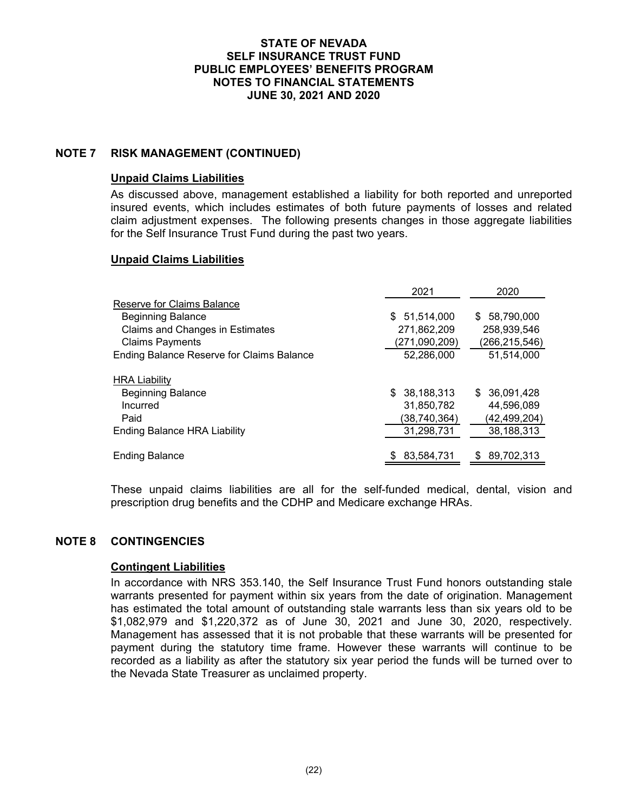## **NOTE 7 RISK MANAGEMENT (CONTINUED)**

#### **Unpaid Claims Liabilities**

As discussed above, management established a liability for both reported and unreported insured events, which includes estimates of both future payments of losses and related claim adjustment expenses. The following presents changes in those aggregate liabilities for the Self Insurance Trust Fund during the past two years.

### **Unpaid Claims Liabilities**

|                                                  | 2021          | 2020          |
|--------------------------------------------------|---------------|---------------|
| Reserve for Claims Balance                       |               |               |
| <b>Beginning Balance</b>                         | \$51,514,000  | \$58,790,000  |
| Claims and Changes in Estimates                  | 271,862,209   | 258,939,546   |
| <b>Claims Payments</b>                           | (271,090,209) | (266,215,546) |
| <b>Ending Balance Reserve for Claims Balance</b> | 52,286,000    | 51,514,000    |
| <b>HRA Liability</b>                             |               |               |
| <b>Beginning Balance</b>                         | \$38,188,313  | \$ 36,091,428 |
| Incurred                                         | 31,850,782    | 44,596,089    |
| Paid                                             | (38,740,364)  | (42,499,204)  |
| <b>Ending Balance HRA Liability</b>              | 31,298,731    | 38,188,313    |
| <b>Ending Balance</b>                            | 83,584,731    | 89,702,313    |

These unpaid claims liabilities are all for the self-funded medical, dental, vision and prescription drug benefits and the CDHP and Medicare exchange HRAs.

### **NOTE 8 CONTINGENCIES**

#### **Contingent Liabilities**

In accordance with NRS 353.140, the Self Insurance Trust Fund honors outstanding stale warrants presented for payment within six years from the date of origination. Management has estimated the total amount of outstanding stale warrants less than six years old to be \$1,082,979 and \$1,220,372 as of June 30, 2021 and June 30, 2020, respectively. Management has assessed that it is not probable that these warrants will be presented for payment during the statutory time frame. However these warrants will continue to be recorded as a liability as after the statutory six year period the funds will be turned over to the Nevada State Treasurer as unclaimed property.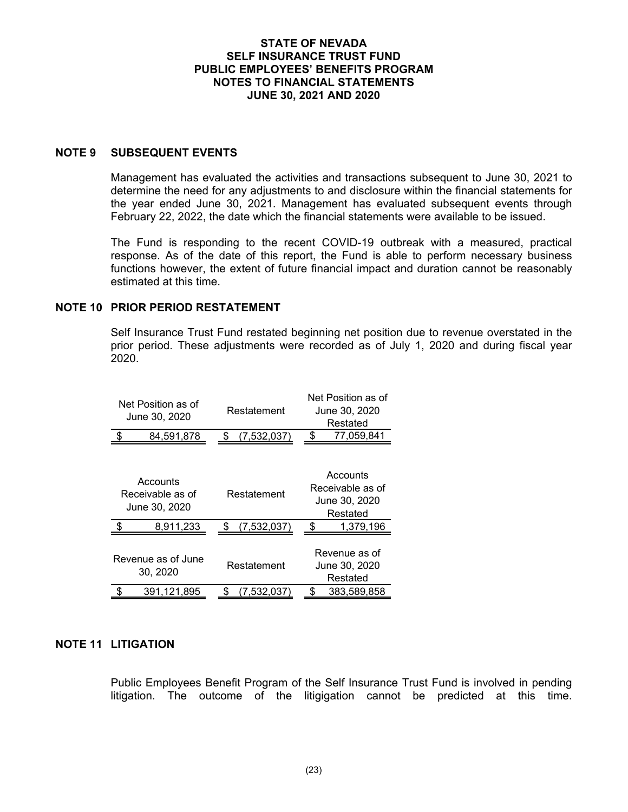### **NOTE 9 SUBSEQUENT EVENTS**

Management has evaluated the activities and transactions subsequent to June 30, 2021 to determine the need for any adjustments to and disclosure within the financial statements for the year ended June 30, 2021. Management has evaluated subsequent events through February 22, 2022, the date which the financial statements were available to be issued.

The Fund is responding to the recent COVID-19 outbreak with a measured, practical response. As of the date of this report, the Fund is able to perform necessary business functions however, the extent of future financial impact and duration cannot be reasonably estimated at this time.

### **NOTE 10 PRIOR PERIOD RESTATEMENT**

Self Insurance Trust Fund restated beginning net position due to revenue overstated in the prior period. These adjustments were recorded as of July 1, 2020 and during fiscal year 2020.

| Net Position as of<br>June 30, 2020           | Restatement   | Net Position as of<br>June 30, 2020<br>Restated           |
|-----------------------------------------------|---------------|-----------------------------------------------------------|
| 84,591,878                                    | (7, 532, 037) | 77,059,841                                                |
| Accounts<br>Receivable as of<br>June 30, 2020 | Restatement   | Accounts<br>Receivable as of<br>June 30, 2020<br>Restated |
| \$.<br>8,911,233                              | 7,532,037     | 1,379,196                                                 |
| Revenue as of June<br>30, 2020                | Restatement   | Revenue as of<br>June 30, 2020<br>Restated                |
| 391,121,895                                   | (7.532.037    | 383,589,858                                               |

# **NOTE 11 LITIGATION**

Public Employees Benefit Program of the Self Insurance Trust Fund is involved in pending litigation. The outcome of the litigigation cannot be predicted at this time.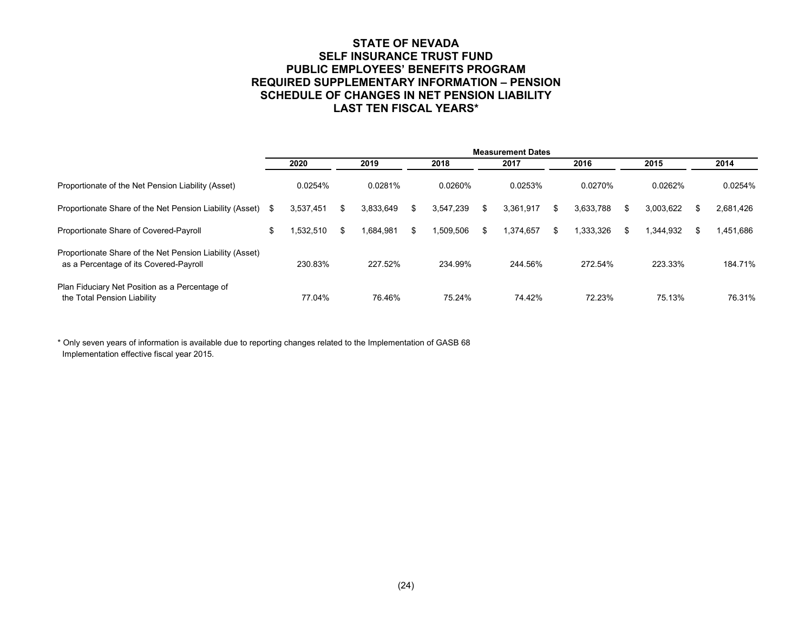#### **STATE OF NEVADA SELF INSURANCE TRUST FUND PUBLIC EMPLOYEES' BENEFITS PROGRAM REQUIRED SUPPLEMENTARY INFORMATION – PENSION SCHEDULE OF CHANGES IN NET PENSION LIABILITY LAST TEN FISCAL YEARS\***

|                                                                                                    | <b>Measurement Dates</b> |                 |    |           |      |           |     |           |    |           |      |           |    |           |
|----------------------------------------------------------------------------------------------------|--------------------------|-----------------|----|-----------|------|-----------|-----|-----------|----|-----------|------|-----------|----|-----------|
| Proportionate of the Net Pension Liability (Asset)                                                 |                          | 2020<br>0.0254% |    | 2019      | 2018 |           |     | 2017      |    | 2016      | 2015 |           |    | 2014      |
|                                                                                                    |                          |                 |    | 0.0281%   |      | 0.0260%   |     | 0.0253%   |    | 0.0270%   |      | 0.0262%   |    | 0.0254%   |
| Proportionate Share of the Net Pension Liability (Asset)                                           | S.                       | 3,537,451       |    | 3,833,649 | £.   | 3,547,239 | \$. | 3,361,917 | \$ | 3,633,788 | \$.  | 3,003,622 | \$ | 2,681,426 |
| Proportionate Share of Covered-Payroll                                                             | \$                       | .532.510        | \$ | 1.684.981 | \$.  | .509.506  | £.  | 1,374,657 | \$ | .333.326  | £.   | 1.344.932 | \$ | 1.451.686 |
| Proportionate Share of the Net Pension Liability (Asset)<br>as a Percentage of its Covered-Payroll |                          | 230.83%         |    | 227.52%   |      | 234.99%   |     | 244.56%   |    | 272.54%   |      | 223.33%   |    | 184.71%   |
| Plan Fiduciary Net Position as a Percentage of<br>the Total Pension Liability                      |                          | 77.04%          |    | 76.46%    |      | 75.24%    |     | 74.42%    |    | 72.23%    |      | 75.13%    |    | 76.31%    |

\* Only seven years of information is available due to reporting changes related to the Implementation of GASB 68 Implementation effective fiscal year 2015.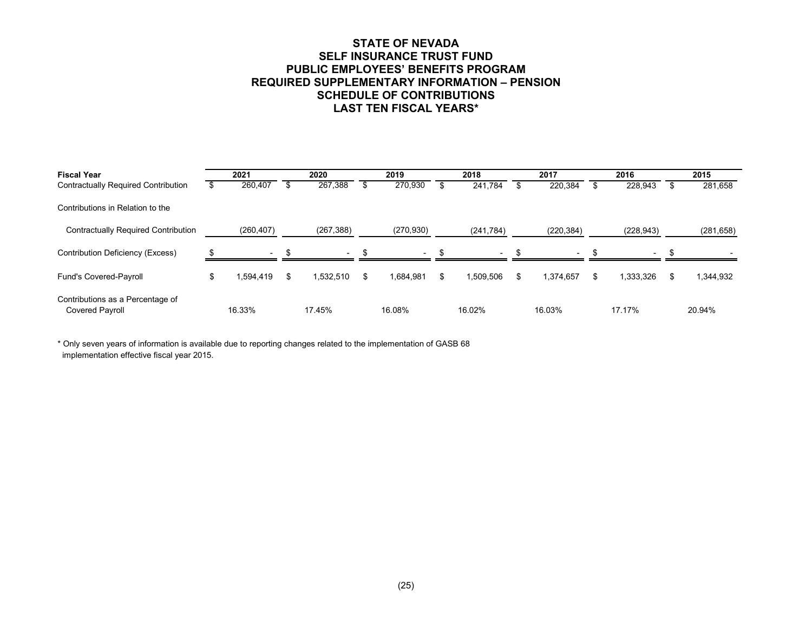#### **STATE OF NEVADA SELF INSURANCE TRUST FUND PUBLIC EMPLOYEES' BENEFITS PROGRAM REQUIRED SUPPLEMENTARY INFORMATION – PENSION SCHEDULE OF CONTRIBUTIONS LAST TEN FISCAL YEARS\***

| <b>Fiscal Year</b>                                         | 2021 |                          | 2020 |                          |    | 2019       |    | 2018                     | 2017 |            |  | 2016                     | 2015 |            |  |
|------------------------------------------------------------|------|--------------------------|------|--------------------------|----|------------|----|--------------------------|------|------------|--|--------------------------|------|------------|--|
| <b>Contractually Required Contribution</b>                 |      | 260,407                  |      | 267,388                  |    | 270,930    |    | 241,784                  |      | 220,384    |  | 228,943                  | S    | 281,658    |  |
| Contributions in Relation to the                           |      |                          |      |                          |    |            |    |                          |      |            |  |                          |      |            |  |
| <b>Contractually Required Contribution</b>                 |      | (260, 407)               |      | (267, 388)               |    | (270, 930) |    | (241, 784)               |      | (220, 384) |  | (228, 943)               |      | (281, 658) |  |
| Contribution Deficiency (Excess)                           |      | $\overline{\phantom{0}}$ |      | $\overline{\phantom{0}}$ |    | $\sim$     |    | $\overline{\phantom{a}}$ |      | $\sim$     |  | $\overline{\phantom{0}}$ |      |            |  |
| Fund's Covered-Payroll                                     |      | .594.419                 | \$   | ,532,510                 | £. | 1,684,981  | \$ | 1.509.506                | \$   | 1.374.657  |  | .333.326                 | \$   | 1,344,932  |  |
| Contributions as a Percentage of<br><b>Covered Payroll</b> |      | 16.33%                   |      | 17.45%                   |    | 16.08%     |    | 16.02%                   |      | 16.03%     |  | 17.17%                   |      | 20.94%     |  |

 implementation effective fiscal year 2015. \* Only seven years of information is available due to reporting changes related to the implementation of GASB 68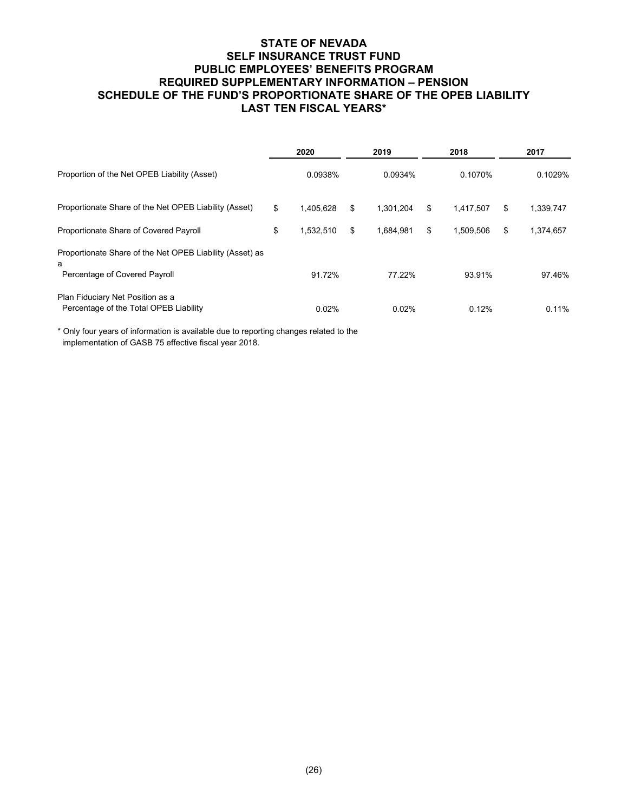### **STATE OF NEVADA SELF INSURANCE TRUST FUND PUBLIC EMPLOYEES' BENEFITS PROGRAM REQUIRED SUPPLEMENTARY INFORMATION – PENSION SCHEDULE OF THE FUND'S PROPORTIONATE SHARE OF THE OPEB LIABILITY LAST TEN FISCAL YEARS\***

|                                                                            | 2020 |           |    | 2019      | 2018            | 2017 |           |  |
|----------------------------------------------------------------------------|------|-----------|----|-----------|-----------------|------|-----------|--|
| Proportion of the Net OPEB Liability (Asset)                               |      | 0.0938%   |    | 0.0934%   | 0.1070%         |      | 0.1029%   |  |
| Proportionate Share of the Net OPEB Liability (Asset)                      | \$   | 1.405.628 | \$ | 1.301.204 | \$<br>1.417.507 | \$   | 1,339,747 |  |
| Proportionate Share of Covered Payroll                                     | \$   | 1,532,510 | \$ | 1.684.981 | \$<br>1,509,506 | \$   | 1,374,657 |  |
| Proportionate Share of the Net OPEB Liability (Asset) as<br>a              |      |           |    |           |                 |      |           |  |
| Percentage of Covered Payroll                                              |      | 91.72%    |    | 77.22%    | 93.91%          |      | 97.46%    |  |
| Plan Fiduciary Net Position as a<br>Percentage of the Total OPEB Liability |      | 0.02%     |    | 0.02%     | 0.12%           |      | 0.11%     |  |

\* Only four years of information is available due to reporting changes related to the implementation of GASB 75 effective fiscal year 2018.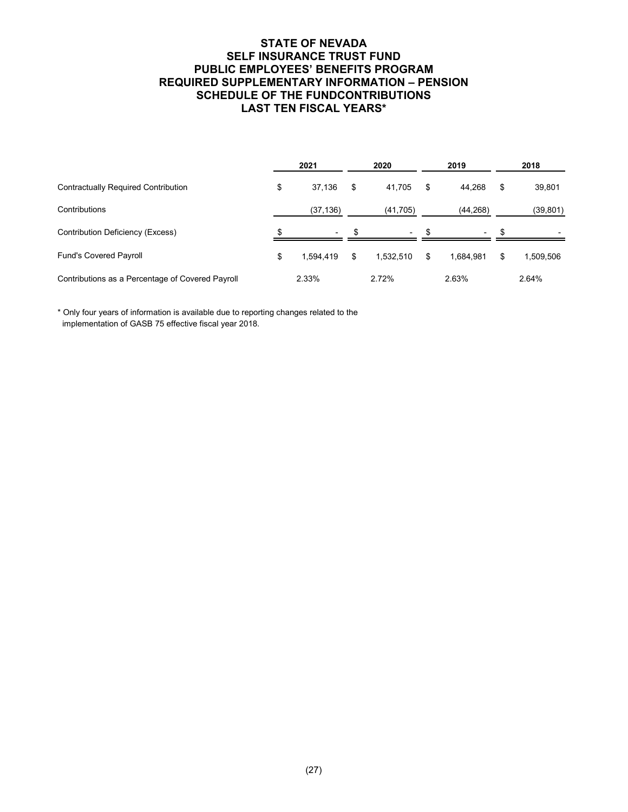### **STATE OF NEVADA SELF INSURANCE TRUST FUND PUBLIC EMPLOYEES' BENEFITS PROGRAM REQUIRED SUPPLEMENTARY INFORMATION – PENSION SCHEDULE OF THE FUNDCONTRIBUTIONS LAST TEN FISCAL YEARS\***

|                                                  | 2021                     | 2020            | 2019            | 2018 |           |  |
|--------------------------------------------------|--------------------------|-----------------|-----------------|------|-----------|--|
| <b>Contractually Required Contribution</b>       | \$<br>37,136             | \$<br>41.705    | \$<br>44,268    | \$   | 39,801    |  |
| Contributions                                    | (37, 136)                | (41, 705)       | (44, 268)       |      | (39, 801) |  |
| Contribution Deficiency (Excess)                 | $\overline{\phantom{a}}$ |                 |                 |      |           |  |
| <b>Fund's Covered Payroll</b>                    | \$<br>1.594.419          | \$<br>1.532.510 | \$<br>1.684.981 | \$   | 1,509,506 |  |
| Contributions as a Percentage of Covered Payroll | 2.33%                    | 2.72%           | 2.63%           |      | 2.64%     |  |

implementation of GASB 75 effective fiscal year 2018. \* Only four years of information is available due to reporting changes related to the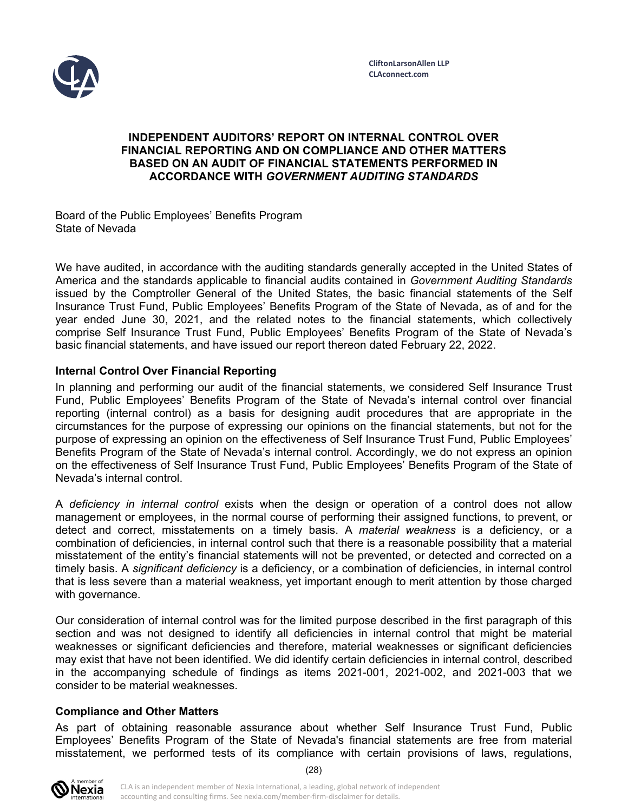

### **INDEPENDENT AUDITORS' REPORT ON INTERNAL CONTROL OVER FINANCIAL REPORTING AND ON COMPLIANCE AND OTHER MATTERS BASED ON AN AUDIT OF FINANCIAL STATEMENTS PERFORMED IN ACCORDANCE WITH** *GOVERNMENT AUDITING STANDARDS*

Board of the Public Employees' Benefits Program State of Nevada

We have audited, in accordance with the auditing standards generally accepted in the United States of America and the standards applicable to financial audits contained in *Government Auditing Standards*  issued by the Comptroller General of the United States, the basic financial statements of the Self Insurance Trust Fund, Public Employees' Benefits Program of the State of Nevada, as of and for the year ended June 30, 2021, and the related notes to the financial statements, which collectively comprise Self Insurance Trust Fund, Public Employees' Benefits Program of the State of Nevada's basic financial statements, and have issued our report thereon dated February 22, 2022.

## **Internal Control Over Financial Reporting**

In planning and performing our audit of the financial statements, we considered Self Insurance Trust Fund, Public Employees' Benefits Program of the State of Nevada's internal control over financial reporting (internal control) as a basis for designing audit procedures that are appropriate in the circumstances for the purpose of expressing our opinions on the financial statements, but not for the purpose of expressing an opinion on the effectiveness of Self Insurance Trust Fund, Public Employees' Benefits Program of the State of Nevada's internal control. Accordingly, we do not express an opinion on the effectiveness of Self Insurance Trust Fund, Public Employees' Benefits Program of the State of Nevada's internal control.

A *deficiency in internal control* exists when the design or operation of a control does not allow management or employees, in the normal course of performing their assigned functions, to prevent, or detect and correct, misstatements on a timely basis. A *material weakness* is a deficiency, or a combination of deficiencies, in internal control such that there is a reasonable possibility that a material misstatement of the entity's financial statements will not be prevented, or detected and corrected on a timely basis. A *significant deficiency* is a deficiency, or a combination of deficiencies, in internal control that is less severe than a material weakness, yet important enough to merit attention by those charged with governance.

Our consideration of internal control was for the limited purpose described in the first paragraph of this section and was not designed to identify all deficiencies in internal control that might be material weaknesses or significant deficiencies and therefore, material weaknesses or significant deficiencies may exist that have not been identified. We did identify certain deficiencies in internal control, described in the accompanying schedule of findings as items 2021-001, 2021-002, and 2021-003 that we consider to be material weaknesses.

#### **Compliance and Other Matters**

As part of obtaining reasonable assurance about whether Self Insurance Trust Fund, Public Employees' Benefits Program of the State of Nevada's financial statements are free from material misstatement, we performed tests of its compliance with certain provisions of laws, regulations,

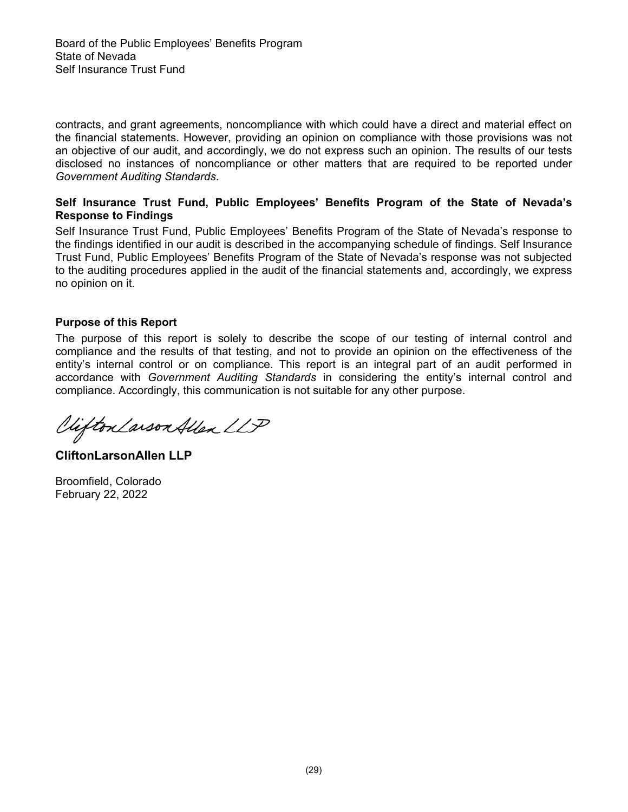contracts, and grant agreements, noncompliance with which could have a direct and material effect on the financial statements. However, providing an opinion on compliance with those provisions was not an objective of our audit, and accordingly, we do not express such an opinion. The results of our tests disclosed no instances of noncompliance or other matters that are required to be reported under *Government Auditing Standards*.

### **Self Insurance Trust Fund, Public Employees' Benefits Program of the State of Nevada's Response to Findings**

Self Insurance Trust Fund, Public Employees' Benefits Program of the State of Nevada's response to the findings identified in our audit is described in the accompanying schedule of findings. Self Insurance Trust Fund, Public Employees' Benefits Program of the State of Nevada's response was not subjected to the auditing procedures applied in the audit of the financial statements and, accordingly, we express no opinion on it.

## **Purpose of this Report**

The purpose of this report is solely to describe the scope of our testing of internal control and compliance and the results of that testing, and not to provide an opinion on the effectiveness of the entity's internal control or on compliance. This report is an integral part of an audit performed in accordance with *Government Auditing Standards* in considering the entity's internal control and compliance. Accordingly, this communication is not suitable for any other purpose.

Viifton Larson Allen LLP

**CliftonLarsonAllen LLP** 

Broomfield, Colorado February 22, 2022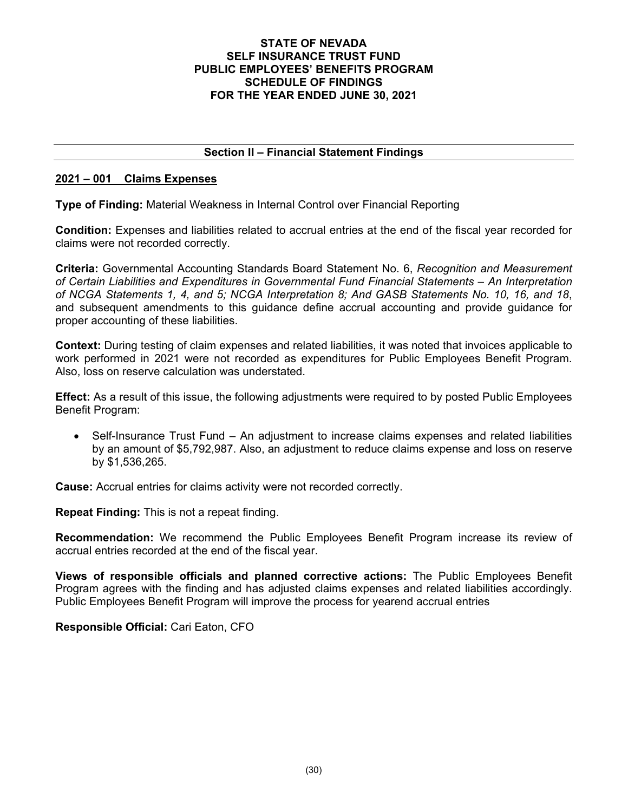#### **STATE OF NEVADA SELF INSURANCE TRUST FUND PUBLIC EMPLOYEES' BENEFITS PROGRAM SCHEDULE OF FINDINGS FOR THE YEAR ENDED JUNE 30, 2021**

# **Section II – Financial Statement Findings**

## **2021 – 001 Claims Expenses**

**Type of Finding:** Material Weakness in Internal Control over Financial Reporting

**Condition:** Expenses and liabilities related to accrual entries at the end of the fiscal year recorded for claims were not recorded correctly.

**Criteria:** Governmental Accounting Standards Board Statement No. 6, *Recognition and Measurement of Certain Liabilities and Expenditures in Governmental Fund Financial Statements – An Interpretation of NCGA Statements 1, 4, and 5; NCGA Interpretation 8; And GASB Statements No. 10, 16, and 18*, and subsequent amendments to this guidance define accrual accounting and provide guidance for proper accounting of these liabilities.

**Context:** During testing of claim expenses and related liabilities, it was noted that invoices applicable to work performed in 2021 were not recorded as expenditures for Public Employees Benefit Program. Also, loss on reserve calculation was understated.

**Effect:** As a result of this issue, the following adjustments were required to by posted Public Employees Benefit Program:

• Self-Insurance Trust Fund – An adjustment to increase claims expenses and related liabilities by an amount of \$5,792,987. Also, an adjustment to reduce claims expense and loss on reserve by \$1,536,265.

**Cause:** Accrual entries for claims activity were not recorded correctly.

**Repeat Finding:** This is not a repeat finding.

**Recommendation:** We recommend the Public Employees Benefit Program increase its review of accrual entries recorded at the end of the fiscal year.

**Views of responsible officials and planned corrective actions:** The Public Employees Benefit Program agrees with the finding and has adjusted claims expenses and related liabilities accordingly. Public Employees Benefit Program will improve the process for yearend accrual entries

**Responsible Official:** Cari Eaton, CFO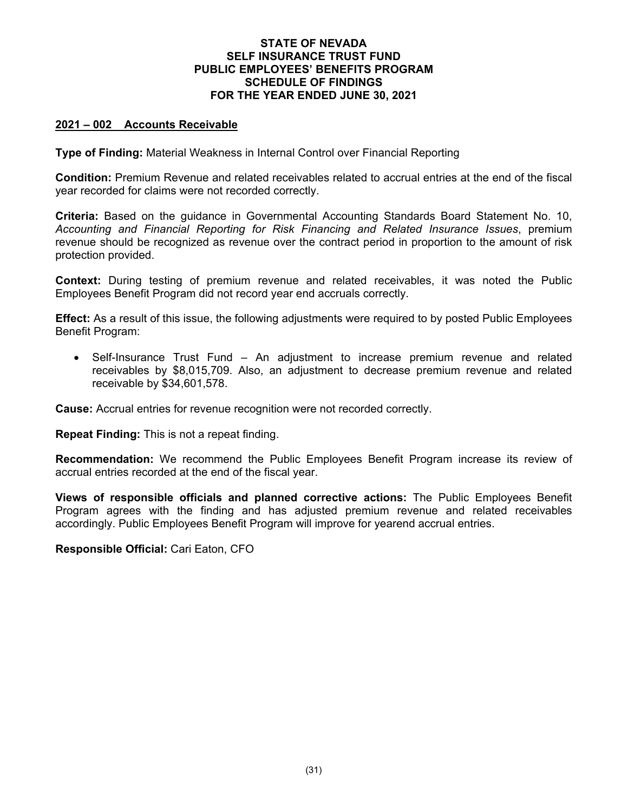#### **STATE OF NEVADA SELF INSURANCE TRUST FUND PUBLIC EMPLOYEES' BENEFITS PROGRAM SCHEDULE OF FINDINGS FOR THE YEAR ENDED JUNE 30, 2021**

### **2021 – 002 Accounts Receivable**

**Type of Finding:** Material Weakness in Internal Control over Financial Reporting

**Condition:** Premium Revenue and related receivables related to accrual entries at the end of the fiscal year recorded for claims were not recorded correctly.

**Criteria:** Based on the guidance in Governmental Accounting Standards Board Statement No. 10, *Accounting and Financial Reporting for Risk Financing and Related Insurance Issues*, premium revenue should be recognized as revenue over the contract period in proportion to the amount of risk protection provided.

**Context:** During testing of premium revenue and related receivables, it was noted the Public Employees Benefit Program did not record year end accruals correctly.

**Effect:** As a result of this issue, the following adjustments were required to by posted Public Employees Benefit Program:

 Self-Insurance Trust Fund – An adjustment to increase premium revenue and related receivables by \$8,015,709. Also, an adjustment to decrease premium revenue and related receivable by \$34,601,578.

**Cause:** Accrual entries for revenue recognition were not recorded correctly.

**Repeat Finding:** This is not a repeat finding.

**Recommendation:** We recommend the Public Employees Benefit Program increase its review of accrual entries recorded at the end of the fiscal year.

**Views of responsible officials and planned corrective actions:** The Public Employees Benefit Program agrees with the finding and has adjusted premium revenue and related receivables accordingly. Public Employees Benefit Program will improve for yearend accrual entries.

**Responsible Official:** Cari Eaton, CFO